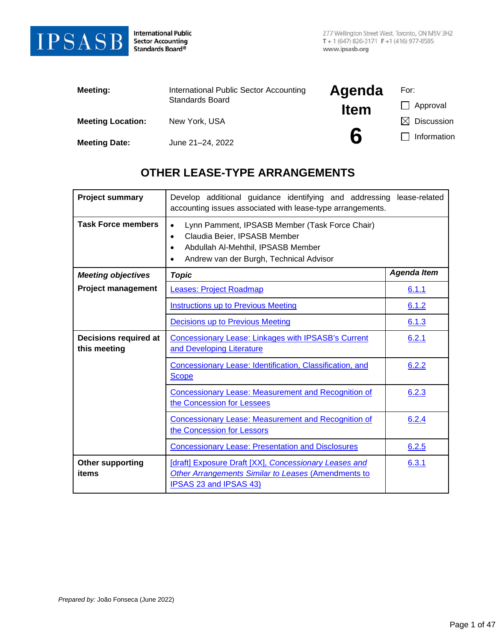

**International Public** Sector Accounting<br>Standards Board®

| Meeting:                 | International Public Sector Accounting | Agenda      | For:              |
|--------------------------|----------------------------------------|-------------|-------------------|
|                          | Standards Board                        | <b>Item</b> | Approval          |
| <b>Meeting Location:</b> | New York, USA                          |             | <b>Discussion</b> |
| <b>Meeting Date:</b>     | June 21-24, 2022                       | 6           | Information       |

# **OTHER LEASE-TYPE ARRANGEMENTS**

| <b>Project summary</b>                | Develop additional guidance identifying and addressing<br>lease-related<br>accounting issues associated with lease-type arrangements.                                                                  |       |
|---------------------------------------|--------------------------------------------------------------------------------------------------------------------------------------------------------------------------------------------------------|-------|
| <b>Task Force members</b>             | Lynn Pamment, IPSASB Member (Task Force Chair)<br>$\bullet$<br>Claudia Beier, IPSASB Member<br>$\bullet$<br>Abdullah Al-Mehthil, IPSASB Member<br>$\bullet$<br>Andrew van der Burgh, Technical Advisor |       |
| <b>Meeting objectives</b>             | <b>Agenda Item</b><br><b>Topic</b>                                                                                                                                                                     |       |
| <b>Project management</b>             | <b>Leases: Project Roadmap</b>                                                                                                                                                                         | 6.1.1 |
|                                       | <b>Instructions up to Previous Meeting</b>                                                                                                                                                             | 6.1.2 |
|                                       | Decisions up to Previous Meeting                                                                                                                                                                       | 6.1.3 |
| Decisions required at<br>this meeting | Concessionary Lease: Linkages with IPSASB's Current<br>and Developing Literature                                                                                                                       | 6.2.1 |
|                                       | Concessionary Lease: Identification, Classification, and<br><b>Scope</b>                                                                                                                               | 6.2.2 |
|                                       | <b>Concessionary Lease: Measurement and Recognition of</b><br>the Concession for Lessees                                                                                                               | 6.2.3 |
|                                       | <b>Concessionary Lease: Measurement and Recognition of</b><br>the Concession for Lessors                                                                                                               | 6.2.4 |
|                                       | <b>Concessionary Lease: Presentation and Disclosures</b>                                                                                                                                               | 6.2.5 |
| <b>Other supporting</b><br>items      | [draft] Exposure Draft [XX], Concessionary Leases and<br>Other Arrangements Similar to Leases (Amendments to<br>IPSAS 23 and IPSAS 43)                                                                 | 6.3.1 |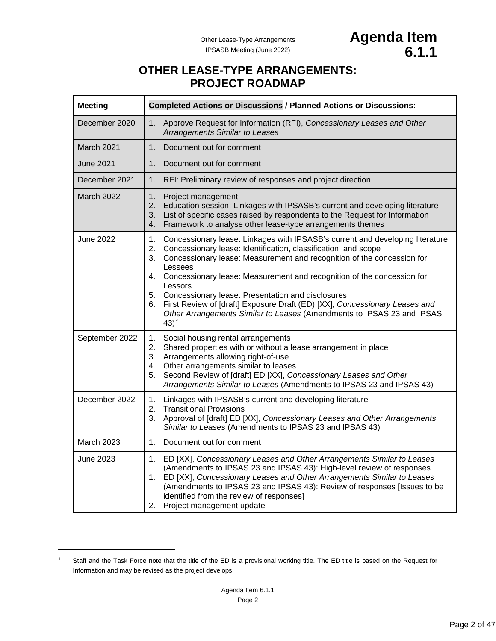# **OTHER LEASE-TYPE ARRANGEMENTS: PROJECT ROADMAP**

<span id="page-1-2"></span><span id="page-1-0"></span>

| <b>Meeting</b>    | <b>Completed Actions or Discussions / Planned Actions or Discussions:</b>                                                                                                                                                                                                                                                                                                                                                                                                                                                                                                          |  |
|-------------------|------------------------------------------------------------------------------------------------------------------------------------------------------------------------------------------------------------------------------------------------------------------------------------------------------------------------------------------------------------------------------------------------------------------------------------------------------------------------------------------------------------------------------------------------------------------------------------|--|
| December 2020     | Approve Request for Information (RFI), Concessionary Leases and Other<br>1.<br><b>Arrangements Similar to Leases</b>                                                                                                                                                                                                                                                                                                                                                                                                                                                               |  |
| March 2021        | 1 <sub>1</sub><br>Document out for comment                                                                                                                                                                                                                                                                                                                                                                                                                                                                                                                                         |  |
| June 2021         | 1 <sub>1</sub><br>Document out for comment                                                                                                                                                                                                                                                                                                                                                                                                                                                                                                                                         |  |
| December 2021     | RFI: Preliminary review of responses and project direction<br>1.                                                                                                                                                                                                                                                                                                                                                                                                                                                                                                                   |  |
| <b>March 2022</b> | 1.<br>Project management<br>2.<br>Education session: Linkages with IPSASB's current and developing literature<br>List of specific cases raised by respondents to the Request for Information<br>3.<br>Framework to analyse other lease-type arrangements themes<br>4.                                                                                                                                                                                                                                                                                                              |  |
| <b>June 2022</b>  | Concessionary lease: Linkages with IPSASB's current and developing literature<br>1.<br>Concessionary lease: Identification, classification, and scope<br>2.<br>Concessionary lease: Measurement and recognition of the concession for<br>3.<br>Lessees<br>Concessionary lease: Measurement and recognition of the concession for<br>4.<br>Lessors<br>5. Concessionary lease: Presentation and disclosures<br>First Review of [draft] Exposure Draft (ED) [XX], Concessionary Leases and<br>6.<br>Other Arrangements Similar to Leases (Amendments to IPSAS 23 and IPSAS<br>43) $1$ |  |
| September 2022    | 1.<br>Social housing rental arrangements<br>Shared properties with or without a lease arrangement in place<br>2.<br>3. Arrangements allowing right-of-use<br>Other arrangements similar to leases<br>4.<br>Second Review of [draft] ED [XX], Concessionary Leases and Other<br>5.<br>Arrangements Similar to Leases (Amendments to IPSAS 23 and IPSAS 43)                                                                                                                                                                                                                          |  |
| December 2022     | 1.<br>Linkages with IPSASB's current and developing literature<br>2.<br><b>Transitional Provisions</b><br>3.<br>Approval of [draft] ED [XX], Concessionary Leases and Other Arrangements<br>Similar to Leases (Amendments to IPSAS 23 and IPSAS 43)                                                                                                                                                                                                                                                                                                                                |  |
| <b>March 2023</b> | 1.<br>Document out for comment                                                                                                                                                                                                                                                                                                                                                                                                                                                                                                                                                     |  |
| June 2023         | 1.<br>ED [XX], Concessionary Leases and Other Arrangements Similar to Leases<br>(Amendments to IPSAS 23 and IPSAS 43): High-level review of responses<br>ED [XX], Concessionary Leases and Other Arrangements Similar to Leases<br>1.<br>(Amendments to IPSAS 23 and IPSAS 43): Review of responses [Issues to be<br>identified from the review of responses]<br>2. Project management update                                                                                                                                                                                      |  |

<span id="page-1-1"></span><sup>1</sup> Staff and the Task Force note that the title of the ED is a provisional working title. The ED title is based on the Request for Information and may be revised as the project develops.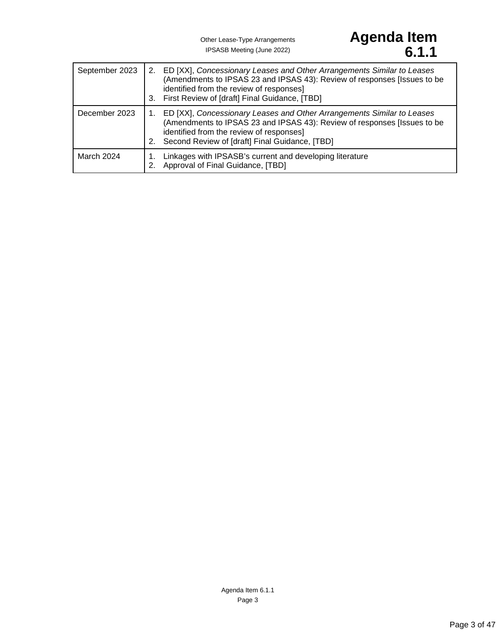# Other Lease-Type Arrangements **Agenda Item** IPSASB Meeting (June 2022) **6.1.1**

| September 2023 | 2. ED [XX], Concessionary Leases and Other Arrangements Similar to Leases<br>(Amendments to IPSAS 23 and IPSAS 43): Review of responses [Issues to be<br>identified from the review of responses]<br>3. First Review of [draft] Final Guidance, [TBD] |
|----------------|-------------------------------------------------------------------------------------------------------------------------------------------------------------------------------------------------------------------------------------------------------|
| December 2023  | ED [XX], Concessionary Leases and Other Arrangements Similar to Leases<br>(Amendments to IPSAS 23 and IPSAS 43): Review of responses [Issues to be<br>identified from the review of responses]<br>Second Review of [draft] Final Guidance, [TBD]      |
| March 2024     | Linkages with IPSASB's current and developing literature<br>Approval of Final Guidance, [TBD]                                                                                                                                                         |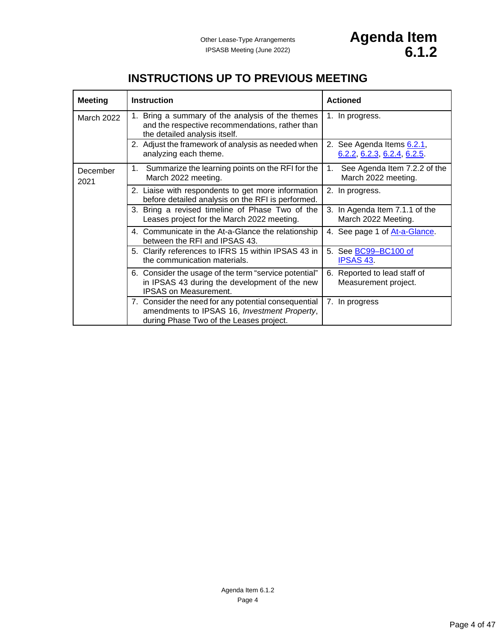<span id="page-3-0"></span>

| <b>Meeting</b>   | <b>Instruction</b>                                                                                                                              | <b>Actioned</b>                                           |
|------------------|-------------------------------------------------------------------------------------------------------------------------------------------------|-----------------------------------------------------------|
| March 2022       | Bring a summary of the analysis of the themes<br>1.<br>and the respective recommendations, rather than<br>the detailed analysis itself.         | 1. In progress.                                           |
|                  | 2. Adjust the framework of analysis as needed when<br>analyzing each theme.                                                                     | 2. See Agenda Items 6.2.1,<br>6.2.2, 6.2.3, 6.2.4, 6.2.5  |
| December<br>2021 | Summarize the learning points on the RFI for the<br>1.<br>March 2022 meeting.                                                                   | See Agenda Item 7.2.2 of the<br>1.<br>March 2022 meeting. |
|                  | 2. Liaise with respondents to get more information<br>before detailed analysis on the RFI is performed.                                         | 2. In progress.                                           |
|                  | Bring a revised timeline of Phase Two of the<br>3.<br>Leases project for the March 2022 meeting.                                                | 3. In Agenda Item 7.1.1 of the<br>March 2022 Meeting.     |
|                  | 4. Communicate in the At-a-Glance the relationship<br>between the RFI and IPSAS 43.                                                             | 4. See page 1 of At-a-Glance.                             |
|                  | 5. Clarify references to IFRS 15 within IPSAS 43 in<br>the communication materials.                                                             | 5. See <b>BC99-BC100 of</b><br><b>IPSAS 43.</b>           |
|                  | 6. Consider the usage of the term "service potential"<br>in IPSAS 43 during the development of the new<br><b>IPSAS on Measurement.</b>          | 6. Reported to lead staff of<br>Measurement project.      |
|                  | 7. Consider the need for any potential consequential<br>amendments to IPSAS 16, Investment Property,<br>during Phase Two of the Leases project. | 7. In progress                                            |

# **INSTRUCTIONS UP TO PREVIOUS MEETING**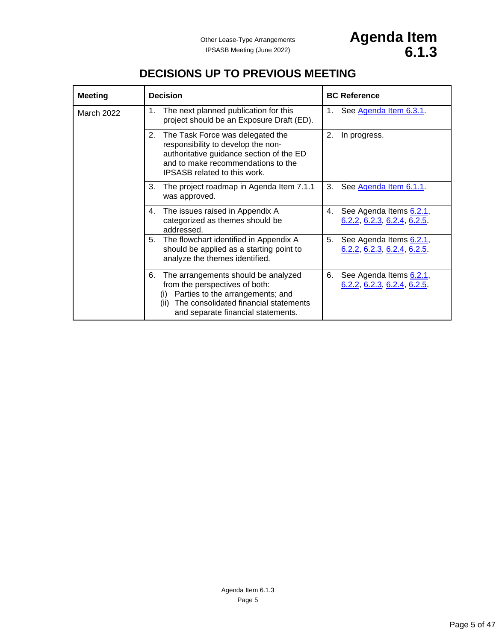# **DECISIONS UP TO PREVIOUS MEETING**

<span id="page-4-0"></span>

| <b>Meeting</b>    | <b>Decision</b>                                                                                                                                                                                               | <b>BC Reference</b>                                         |
|-------------------|---------------------------------------------------------------------------------------------------------------------------------------------------------------------------------------------------------------|-------------------------------------------------------------|
| <b>March 2022</b> | The next planned publication for this<br>1.<br>project should be an Exposure Draft (ED).                                                                                                                      | See Agenda Item 6.3.1.<br>1.                                |
|                   | 2.<br>The Task Force was delegated the<br>responsibility to develop the non-<br>authoritative guidance section of the ED<br>and to make recommendations to the<br><b>IPSASB</b> related to this work.         | 2.<br>In progress.                                          |
|                   | 3.<br>The project roadmap in Agenda Item 7.1.1<br>was approved.                                                                                                                                               | 3.<br>See Agenda Item 6.1.1.                                |
|                   | The issues raised in Appendix A<br>4.<br>categorized as themes should be<br>addressed.                                                                                                                        | See Agenda Items 6.2.1,<br>4.<br>6.2.2, 6.2.3, 6.2.4, 6.2.5 |
|                   | 5.<br>The flowchart identified in Appendix A<br>should be applied as a starting point to<br>analyze the themes identified.                                                                                    | 5.<br>See Agenda Items 6.2.1,<br>6.2.2, 6.2.3, 6.2.4, 6.2.5 |
|                   | 6.<br>The arrangements should be analyzed<br>from the perspectives of both:<br>Parties to the arrangements; and<br>(i)<br>The consolidated financial statements<br>(ii)<br>and separate financial statements. | 6.<br>See Agenda Items 6.2.1,<br>6.2.2, 6.2.3, 6.2.4, 6.2.5 |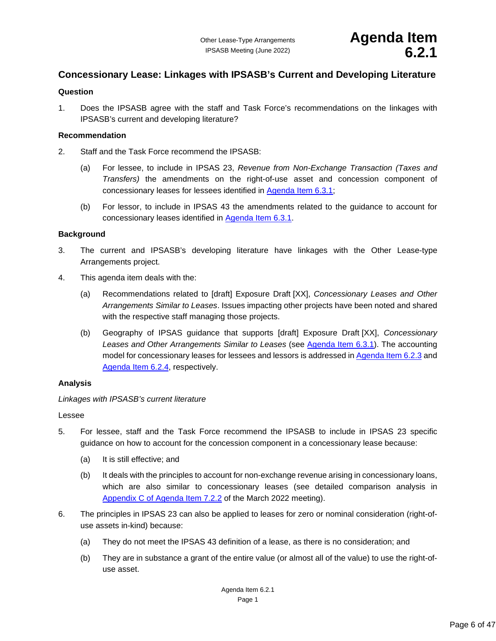# <span id="page-5-1"></span><span id="page-5-0"></span>**Concessionary Lease: Linkages with IPSASB's Current and Developing Literature**

#### **Question**

1. Does the IPSASB agree with the staff and Task Force's recommendations on the linkages with IPSASB's current and developing literature?

#### **Recommendation**

- 2. Staff and the Task Force recommend the IPSASB:
	- (a) For lessee, to include in IPSAS 23, *Revenue from Non-Exchange Transaction (Taxes and Transfers)* the amendments on the right-of-use asset and concession component of concessionary leases for lessees identified in [Agenda Item 6.3.1;](#page-25-0)
	- (b) For lessor, to include in IPSAS 43 the amendments related to the guidance to account for concessionary leases identified in [Agenda Item 6.3.1.](#page-25-0)

#### **Background**

- 3. The current and IPSASB's developing literature have linkages with the Other Lease-type Arrangements project.
- 4. This agenda item deals with the:
	- (a) Recommendations related to [draft] Exposure Draft [XX], *Concessionary Leases and Other Arrangements Similar to Leases*. Issues impacting other projects have been noted and shared with the respective staff managing those projects.
	- (b) Geography of IPSAS guidance that supports [draft] Exposure Draft [XX], *Concessionary Leases and Other Arrangements Similar to Leases* (see [Agenda Item 6.3.1\)](#page-25-0). The accounting model for concessionary leases for lessees and lessors is addressed in [Agenda Item 6.2.3](#page-12-0) and [Agenda Item 6.2.4,](#page-17-0) respectively.

### **Analysis**

*Linkages with IPSASB's current literature*

#### Lessee

- 5. For lessee, staff and the Task Force recommend the IPSASB to include in IPSAS 23 specific guidance on how to account for the concession component in a concessionary lease because:
	- (a) It is still effective; and
	- (b) It deals with the principles to account for non-exchange revenue arising in concessionary loans, which are also similar to concessionary leases (see detailed comparison analysis in Appendix [C of Agenda Item 7.2.2](https://www.ifac.org/system/files/meetings/files/7-Other-Lease-type-Arrangements_Final.pdf) of the March 2022 meeting).
- 6. The principles in IPSAS 23 can also be applied to leases for zero or nominal consideration (right-ofuse assets in-kind) because:
	- (a) They do not meet the IPSAS 43 definition of a lease, as there is no consideration; and
	- (b) They are in substance a grant of the entire value (or almost all of the value) to use the right-ofuse asset.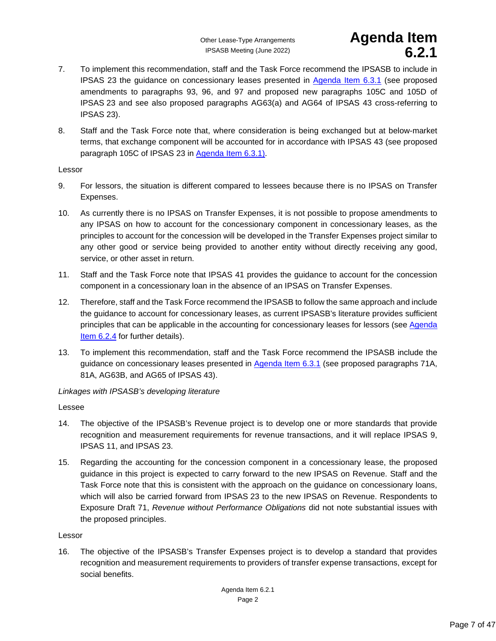# Other Lease-Type Arrangements **Agenda Item** IPSASB Meeting (June 2022) **6.2.1**

- 7. To implement this recommendation, staff and the Task Force recommend the IPSASB to include in IPSAS 23 the guidance on concessionary leases presented in [Agenda Item 6.3.1](#page-25-0) (see proposed amendments to paragraphs 93, 96, and 97 and proposed new paragraphs 105C and 105D of IPSAS 23 and see also proposed paragraphs AG63(a) and AG64 of IPSAS 43 cross-referring to IPSAS 23).
- 8. Staff and the Task Force note that, where consideration is being exchanged but at below-market terms, that exchange component will be accounted for in accordance with IPSAS 43 (see proposed paragraph 105C of IPSAS 23 in [Agenda Item 6.3.1\)](#page-25-0).

## Lessor

- 9. For lessors, the situation is different compared to lessees because there is no IPSAS on Transfer Expenses.
- 10. As currently there is no IPSAS on Transfer Expenses, it is not possible to propose amendments to any IPSAS on how to account for the concessionary component in concessionary leases, as the principles to account for the concession will be developed in the Transfer Expenses project similar to any other good or service being provided to another entity without directly receiving any good, service, or other asset in return.
- 11. Staff and the Task Force note that IPSAS 41 provides the guidance to account for the concession component in a concessionary loan in the absence of an IPSAS on Transfer Expenses.
- 12. Therefore, staff and the Task Force recommend the IPSASB to follow the same approach and include the guidance to account for concessionary leases, as current IPSASB's literature provides sufficient principles that can be applicable in the accounting for concessionary leases for lessors (se[e Agenda](#page-17-0)  [Item 6.2.4](#page-17-0) for further details).
- 13. To implement this recommendation, staff and the Task Force recommend the IPSASB include the guidance on concessionary leases presented in [Agenda Item 6.3.1](#page-25-0) (see proposed paragraphs 71A, 81A, AG63B, and AG65 of IPSAS 43).

# *Linkages with IPSASB's developing literature*

### Lessee

- 14. The objective of the IPSASB's Revenue project is to develop one or more standards that provide recognition and measurement requirements for revenue transactions, and it will replace IPSAS 9, IPSAS 11, and IPSAS 23.
- 15. Regarding the accounting for the concession component in a concessionary lease, the proposed guidance in this project is expected to carry forward to the new IPSAS on Revenue. Staff and the Task Force note that this is consistent with the approach on the guidance on concessionary loans, which will also be carried forward from IPSAS 23 to the new IPSAS on Revenue. Respondents to Exposure Draft 71, *Revenue without Performance Obligations* did not note substantial issues with the proposed principles.

### Lessor

16. The objective of the IPSASB's Transfer Expenses project is to develop a standard that provides recognition and measurement requirements to providers of transfer expense transactions, except for social benefits.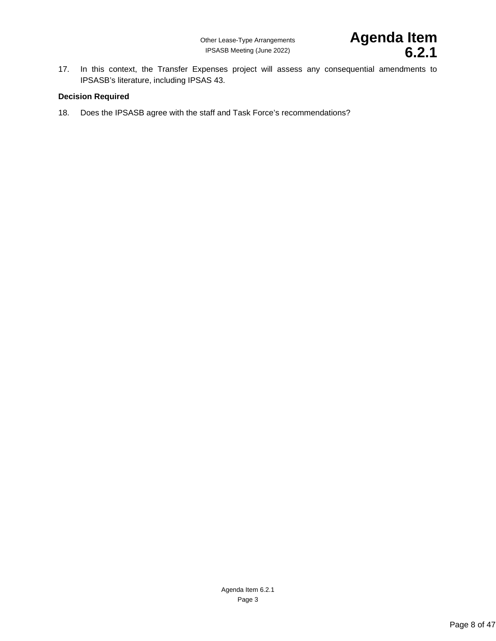17. In this context, the Transfer Expenses project will assess any consequential amendments to IPSASB's literature, including IPSAS 43.

### **Decision Required**

18. Does the IPSASB agree with the staff and Task Force's recommendations?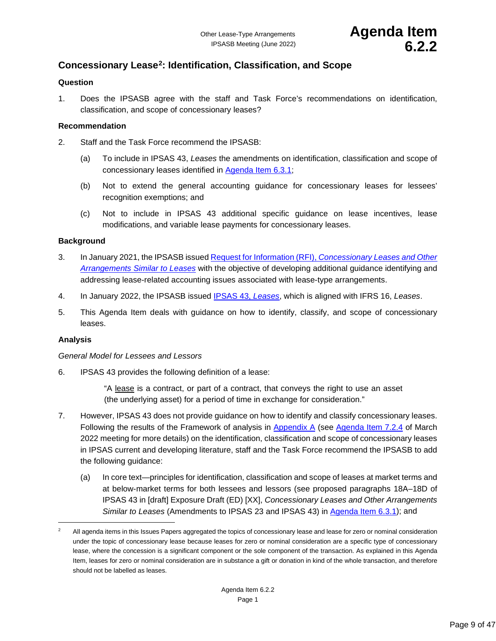# <span id="page-8-1"></span><span id="page-8-0"></span>**Concessionary Lease[2](#page-8-2): Identification, Classification, and Scope**

#### **Question**

1. Does the IPSASB agree with the staff and Task Force's recommendations on identification, classification, and scope of concessionary leases?

#### **Recommendation**

- 2. Staff and the Task Force recommend the IPSASB:
	- (a) To include in IPSAS 43, *Leases* the amendments on identification, classification and scope of concessionary leases identified in [Agenda Item 6.3.1;](#page-25-0)
	- (b) Not to extend the general accounting guidance for concessionary leases for lessees' recognition exemptions; and
	- (c) Not to include in IPSAS 43 additional specific guidance on lease incentives, lease modifications, and variable lease payments for concessionary leases.

#### **Background**

- 3. In January 2021, the IPSASB issued Request for Information (RFI), *[Concessionary Leases and Other](https://www.ifac.org/system/files/publications/files/IPSASB-Request-For-Information-Leases.pdf)  [Arrangements Similar to Leases](https://www.ifac.org/system/files/publications/files/IPSASB-Request-For-Information-Leases.pdf)* with the objective of developing additional guidance identifying and addressing lease-related accounting issues associated with lease-type arrangements.
- 4. In January 2022, the IPSASB issued [IPSAS 43,](https://www.ipsasb.org/publications/ipsas-43-leases) *Leases*, which is aligned with IFRS 16, *Leases*.
- 5. This Agenda Item deals with guidance on how to identify, classify, and scope of concessionary leases.

#### **Analysis**

#### *General Model for Lessees and Lessors*

6. IPSAS 43 provides the following definition of a lease:

"A lease is a contract, or part of a contract, that conveys the right to use an asset (the underlying asset) for a period of time in exchange for consideration."

- 7. However, IPSAS 43 does not provide guidance on how to identify and classify concessionary leases. Following the results of the Framework of analysis in [Appendix A](#page-11-0) (see [Agenda Item 7.2.4](https://www.ifac.org/system/files/meetings/files/7-Other-Lease-type-Arrangements_Final.pdf) of March 2022 meeting for more details) on the identification, classification and scope of concessionary leases in IPSAS current and developing literature, staff and the Task Force recommend the IPSASB to add the following guidance:
	- (a) In core text—principles for identification, classification and scope of leases at market terms and at below-market terms for both lessees and lessors (see proposed paragraphs 18A–18D of IPSAS 43 in [draft] Exposure Draft (ED) [XX], *Concessionary Leases and Other Arrangements Similar to Leases* (Amendments to IPSAS 23 and IPSAS 43) in [Agenda Item 6.3.1\)](#page-25-0); and

<span id="page-8-2"></span><sup>2</sup> All agenda items in this Issues Papers aggregated the topics of concessionary lease and lease for zero or nominal consideration under the topic of concessionary lease because leases for zero or nominal consideration are a specific type of concessionary lease, where the concession is a significant component or the sole component of the transaction. As explained in this Agenda Item, leases for zero or nominal consideration are in substance a gift or donation in kind of the whole transaction, and therefore should not be labelled as leases.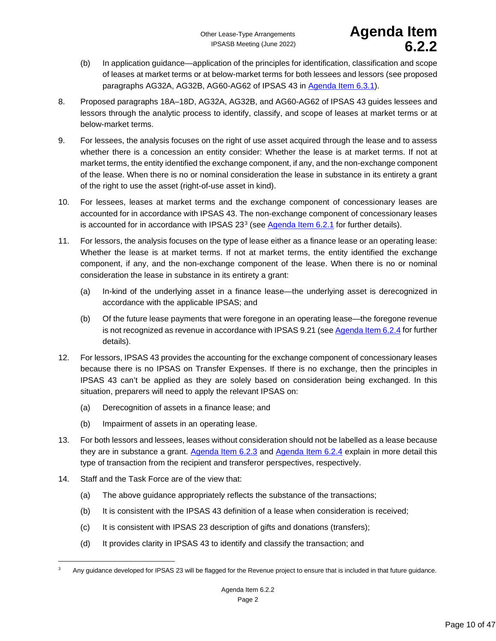- (b) In application guidance—application of the principles for identification, classification and scope of leases at market terms or at below-market terms for both lessees and lessors (see proposed paragraphs AG32A, AG32B, AG60-AG62 of IPSAS 43 in [Agenda Item 6.3.1\)](#page-25-0).
- 8. Proposed paragraphs 18A–18D, AG32A, AG32B, and AG60-AG62 of IPSAS 43 guides lessees and lessors through the analytic process to identify, classify, and scope of leases at market terms or at below-market terms.
- 9. For lessees, the analysis focuses on the right of use asset acquired through the lease and to assess whether there is a concession an entity consider: Whether the lease is at market terms. If not at market terms, the entity identified the exchange component, if any, and the non-exchange component of the lease. When there is no or nominal consideration the lease in substance in its entirety a grant of the right to use the asset (right-of-use asset in kind).
- 10. For lessees, leases at market terms and the exchange component of concessionary leases are accounted for in accordance with IPSAS 43. The non-exchange component of concessionary leases is accounted for in accordance with IPSAS  $23<sup>3</sup>$  $23<sup>3</sup>$  $23<sup>3</sup>$  (see [Agenda Item 6.2.1](#page-5-0) for further details).
- 11. For lessors, the analysis focuses on the type of lease either as a finance lease or an operating lease: Whether the lease is at market terms. If not at market terms, the entity identified the exchange component, if any, and the non-exchange component of the lease. When there is no or nominal consideration the lease in substance in its entirety a grant:
	- (a) In-kind of the underlying asset in a finance lease—the underlying asset is derecognized in accordance with the applicable IPSAS; and
	- (b) Of the future lease payments that were foregone in an operating lease—the foregone revenue is not recognized as revenue in accordance with IPSAS 9.21 (see [Agenda Item 6.2.4](#page-17-0) for further details).
- 12. For lessors, IPSAS 43 provides the accounting for the exchange component of concessionary leases because there is no IPSAS on Transfer Expenses. If there is no exchange, then the principles in IPSAS 43 can't be applied as they are solely based on consideration being exchanged. In this situation, preparers will need to apply the relevant IPSAS on:
	- (a) Derecognition of assets in a finance lease; and
	- (b) Impairment of assets in an operating lease.
- 13. For both lessors and lessees, leases without consideration should not be labelled as a lease because they are in substance a grant. [Agenda Item 6.2.3](#page-12-0) and [Agenda Item 6.2.4](#page-17-0) explain in more detail this type of transaction from the recipient and transferor perspectives, respectively.
- 14. Staff and the Task Force are of the view that:
	- (a) The above guidance appropriately reflects the substance of the transactions;
	- (b) It is consistent with the IPSAS 43 definition of a lease when consideration is received;
	- (c) It is consistent with IPSAS 23 description of gifts and donations (transfers);
	- (d) It provides clarity in IPSAS 43 to identify and classify the transaction; and

<span id="page-9-0"></span><sup>3</sup> Any guidance developed for IPSAS 23 will be flagged for the Revenue project to ensure that is included in that future guidance.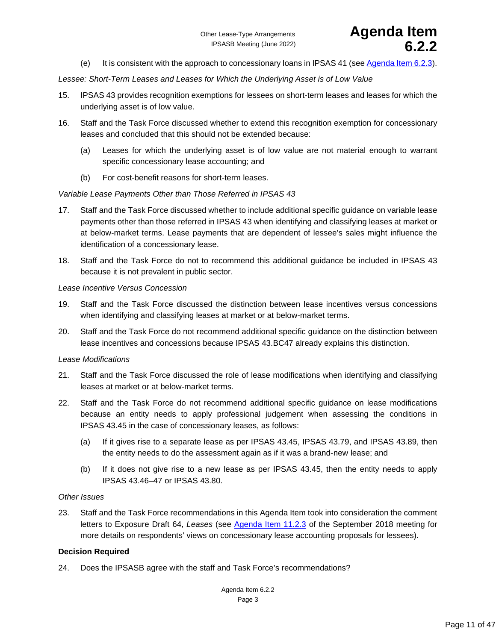

(e) It is consistent with the approach to concessionary loans in IPSAS 41 (see [Agenda Item 6.2.3\)](#page-12-0).

*Lessee: Short-Term Leases and Leases for Which the Underlying Asset is of Low Value*

- 15. IPSAS 43 provides recognition exemptions for lessees on short-term leases and leases for which the underlying asset is of low value.
- 16. Staff and the Task Force discussed whether to extend this recognition exemption for concessionary leases and concluded that this should not be extended because:
	- (a) Leases for which the underlying asset is of low value are not material enough to warrant specific concessionary lease accounting; and
	- (b) For cost-benefit reasons for short-term leases.

#### *Variable Lease Payments Other than Those Referred in IPSAS 43*

- 17. Staff and the Task Force discussed whether to include additional specific guidance on variable lease payments other than those referred in IPSAS 43 when identifying and classifying leases at market or at below-market terms. Lease payments that are dependent of lessee's sales might influence the identification of a concessionary lease.
- 18. Staff and the Task Force do not to recommend this additional guidance be included in IPSAS 43 because it is not prevalent in public sector.

#### *Lease Incentive Versus Concession*

- 19. Staff and the Task Force discussed the distinction between lease incentives versus concessions when identifying and classifying leases at market or at below-market terms.
- 20. Staff and the Task Force do not recommend additional specific guidance on the distinction between lease incentives and concessions because IPSAS 43.BC47 already explains this distinction.

#### *Lease Modifications*

- 21. Staff and the Task Force discussed the role of lease modifications when identifying and classifying leases at market or at below-market terms.
- 22. Staff and the Task Force do not recommend additional specific guidance on lease modifications because an entity needs to apply professional judgement when assessing the conditions in IPSAS 43.45 in the case of concessionary leases, as follows:
	- (a) If it gives rise to a separate lease as per IPSAS 43.45, IPSAS 43.79, and IPSAS 43.89, then the entity needs to do the assessment again as if it was a brand-new lease; and
	- (b) If it does not give rise to a new lease as per IPSAS 43.45, then the entity needs to apply IPSAS 43.46–47 or IPSAS 43.80.

#### *Other Issues*

23. Staff and the Task Force recommendations in this Agenda Item took into consideration the comment letters to Exposure Draft 64, *Leases* (see [Agenda Item 11.2.3](https://www.ifac.org/system/files/meetings/files/Agenda-Item-11-Leases_final.pdf) of the September 2018 meeting for more details on respondents' views on concessionary lease accounting proposals for lessees).

### **Decision Required**

24. Does the IPSASB agree with the staff and Task Force's recommendations?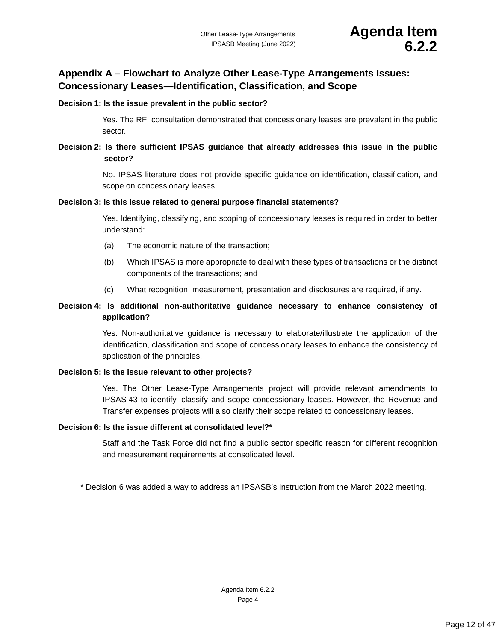# <span id="page-11-0"></span>**Appendix A – Flowchart to Analyze Other Lease-Type Arrangements Issues: Concessionary Leases—Identification, Classification, and Scope**

#### **Decision 1: Is the issue prevalent in the public sector?**

Yes. The RFI consultation demonstrated that concessionary leases are prevalent in the public sector.

# **Decision 2: Is there sufficient IPSAS guidance that already addresses this issue in the public sector?**

No. IPSAS literature does not provide specific guidance on identification, classification, and scope on concessionary leases.

#### **Decision 3: Is this issue related to general purpose financial statements?**

Yes. Identifying, classifying, and scoping of concessionary leases is required in order to better understand:

- (a) The economic nature of the transaction;
- (b) Which IPSAS is more appropriate to deal with these types of transactions or the distinct components of the transactions; and
- (c) What recognition, measurement, presentation and disclosures are required, if any.

# **Decision 4: Is additional non-authoritative guidance necessary to enhance consistency of application?**

Yes. Non-authoritative guidance is necessary to elaborate/illustrate the application of the identification, classification and scope of concessionary leases to enhance the consistency of application of the principles.

### **Decision 5: Is the issue relevant to other projects?**

Yes. The Other Lease-Type Arrangements project will provide relevant amendments to IPSAS 43 to identify, classify and scope concessionary leases. However, the Revenue and Transfer expenses projects will also clarify their scope related to concessionary leases.

#### **Decision 6: Is the issue different at consolidated level?\***

Staff and the Task Force did not find a public sector specific reason for different recognition and measurement requirements at consolidated level.

\* Decision 6 was added a way to address an IPSASB's instruction from the March 2022 meeting.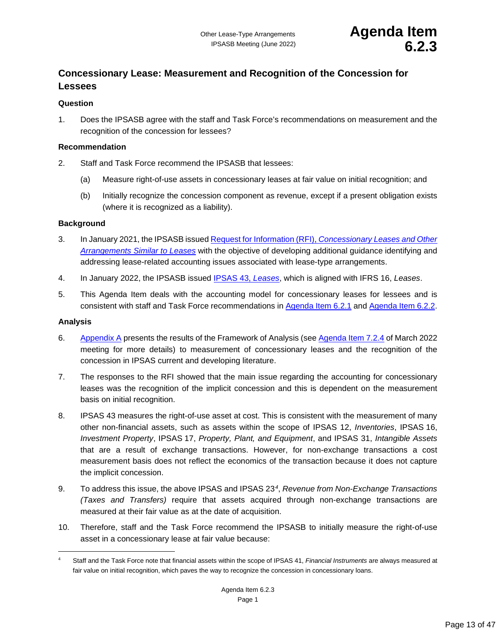# <span id="page-12-1"></span><span id="page-12-0"></span>**Concessionary Lease: Measurement and Recognition of the Concession for Lessees**

### **Question**

1. Does the IPSASB agree with the staff and Task Force's recommendations on measurement and the recognition of the concession for lessees?

### **Recommendation**

- 2. Staff and Task Force recommend the IPSASB that lessees:
	- (a) Measure right-of-use assets in concessionary leases at fair value on initial recognition; and
	- (b) Initially recognize the concession component as revenue, except if a present obligation exists (where it is recognized as a liability).

### **Background**

- 3. In January 2021, the IPSASB issued Request for Information (RFI), *[Concessionary Leases and Other](https://www.ifac.org/system/files/publications/files/IPSASB-Request-For-Information-Leases.pdf)  [Arrangements Similar to Leases](https://www.ifac.org/system/files/publications/files/IPSASB-Request-For-Information-Leases.pdf)* with the objective of developing additional guidance identifying and addressing lease-related accounting issues associated with lease-type arrangements.
- 4. In January 2022, the IPSASB issued [IPSAS 43,](https://www.ipsasb.org/publications/ipsas-43-leases) *Leases*, which is aligned with IFRS 16, *Leases*.
- 5. This Agenda Item deals with the accounting model for concessionary leases for lessees and is consistent with staff and Task Force recommendations in [Agenda Item 6.2.1](#page-5-0) and [Agenda Item 6.2.2.](#page-8-0)

### **Analysis**

- 6. [Appendix A](#page-15-0) presents the results of the Framework of Analysis (see [Agenda Item 7.2.4](https://www.ifac.org/system/files/meetings/files/7-Other-Lease-type-Arrangements_Final.pdf) of March 2022 meeting for more details) to measurement of concessionary leases and the recognition of the concession in IPSAS current and developing literature.
- 7. The responses to the RFI showed that the main issue regarding the accounting for concessionary leases was the recognition of the implicit concession and this is dependent on the measurement basis on initial recognition.
- 8. IPSAS 43 measures the right-of-use asset at cost. This is consistent with the measurement of many other non-financial assets, such as assets within the scope of IPSAS 12, *Inventories*, IPSAS 16, *Investment Property*, IPSAS 17, *Property, Plant, and Equipment*, and IPSAS 31, *Intangible Assets* that are a result of exchange transactions. However, for non-exchange transactions a cost measurement basis does not reflect the economics of the transaction because it does not capture the implicit concession.
- 9. To address this issue, the above IPSAS and IPSAS 23*[4](#page-12-2)*, *Revenue from Non-Exchange Transactions (Taxes and Transfers)* require that assets acquired through non-exchange transactions are measured at their fair value as at the date of acquisition.
- 10. Therefore, staff and the Task Force recommend the IPSASB to initially measure the right-of-use asset in a concessionary lease at fair value because:

<span id="page-12-2"></span><sup>4</sup> Staff and the Task Force note that financial assets within the scope of IPSAS 41, *Financial Instruments* are always measured at fair value on initial recognition, which paves the way to recognize the concession in concessionary loans.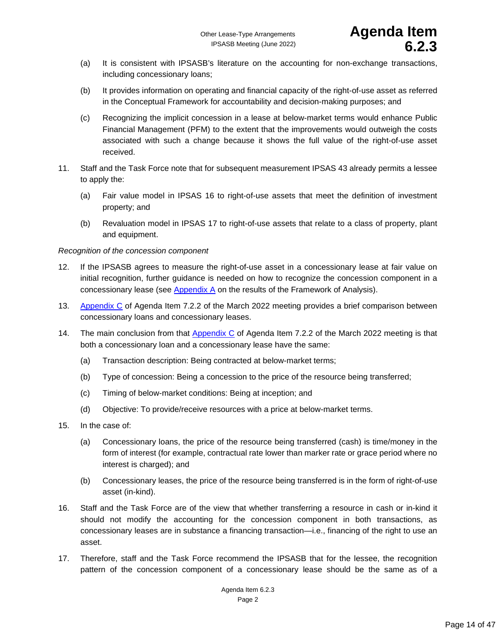- (a) It is consistent with IPSASB's literature on the accounting for non-exchange transactions, including concessionary loans;
- (b) It provides information on operating and financial capacity of the right-of-use asset as referred in the Conceptual Framework for accountability and decision-making purposes; and
- (c) Recognizing the implicit concession in a lease at below-market terms would enhance Public Financial Management (PFM) to the extent that the improvements would outweigh the costs associated with such a change because it shows the full value of the right-of-use asset received.
- 11. Staff and the Task Force note that for subsequent measurement IPSAS 43 already permits a lessee to apply the:
	- (a) Fair value model in IPSAS 16 to right-of-use assets that meet the definition of investment property; and
	- (b) Revaluation model in IPSAS 17 to right-of-use assets that relate to a class of property, plant and equipment.

## *Recognition of the concession component*

- 12. If the IPSASB agrees to measure the right-of-use asset in a concessionary lease at fair value on initial recognition, further guidance is needed on how to recognize the concession component in a concessionary lease (see [Appendix A](#page-15-0) on the results of the Framework of Analysis).
- 13. [Appendix C](https://www.ifac.org/system/files/meetings/files/7-Other-Lease-type-Arrangements_Final.pdf) of Agenda Item 7.2.2 of the March 2022 meeting provides a brief comparison between concessionary loans and concessionary leases.
- 14. The main conclusion from that [Appendix C](https://www.ifac.org/system/files/meetings/files/7-Other-Lease-type-Arrangements_Final.pdf) of Agenda Item 7.2.2 of the March 2022 meeting is that both a concessionary loan and a concessionary lease have the same:
	- (a) Transaction description: Being contracted at below-market terms;
	- (b) Type of concession: Being a concession to the price of the resource being transferred;
	- (c) Timing of below-market conditions: Being at inception; and
	- (d) Objective: To provide/receive resources with a price at below-market terms.
- 15. In the case of:
	- (a) Concessionary loans, the price of the resource being transferred (cash) is time/money in the form of interest (for example, contractual rate lower than marker rate or grace period where no interest is charged); and
	- (b) Concessionary leases, the price of the resource being transferred is in the form of right-of-use asset (in-kind).
- 16. Staff and the Task Force are of the view that whether transferring a resource in cash or in-kind it should not modify the accounting for the concession component in both transactions, as concessionary leases are in substance a financing transaction—i.e., financing of the right to use an asset.
- 17. Therefore, staff and the Task Force recommend the IPSASB that for the lessee, the recognition pattern of the concession component of a concessionary lease should be the same as of a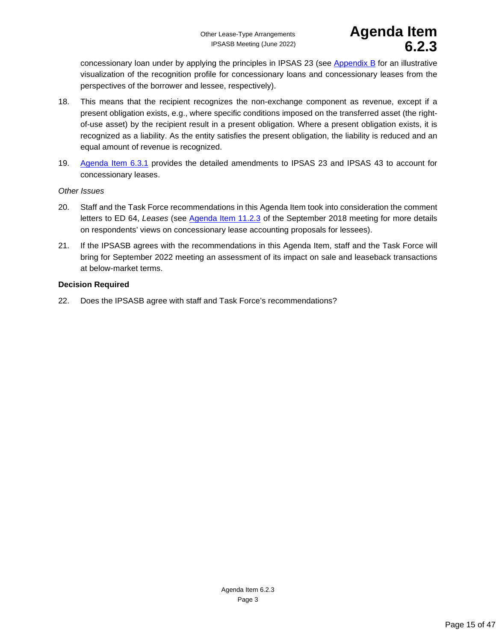concessionary loan under by applying the principles in IPSAS 23 (see [Appendix B](#page-16-0) for an illustrative visualization of the recognition profile for concessionary loans and concessionary leases from the perspectives of the borrower and lessee, respectively).

- 18. This means that the recipient recognizes the non-exchange component as revenue, except if a present obligation exists, e.g., where specific conditions imposed on the transferred asset (the rightof-use asset) by the recipient result in a present obligation. Where a present obligation exists, it is recognized as a liability. As the entity satisfies the present obligation, the liability is reduced and an equal amount of revenue is recognized.
- 19. [Agenda Item 6.3.1](#page-25-0) provides the detailed amendments to IPSAS 23 and IPSAS 43 to account for concessionary leases.

#### *Other Issues*

- 20. Staff and the Task Force recommendations in this Agenda Item took into consideration the comment letters to ED 64, *Leases* (see [Agenda Item 11.2.3](https://www.ifac.org/system/files/meetings/files/Agenda-Item-11-Leases_final.pdf) of the September 2018 meeting for more details on respondents' views on concessionary lease accounting proposals for lessees).
- 21. If the IPSASB agrees with the recommendations in this Agenda Item, staff and the Task Force will bring for September 2022 meeting an assessment of its impact on sale and leaseback transactions at below-market terms.

### **Decision Required**

22. Does the IPSASB agree with staff and Task Force's recommendations?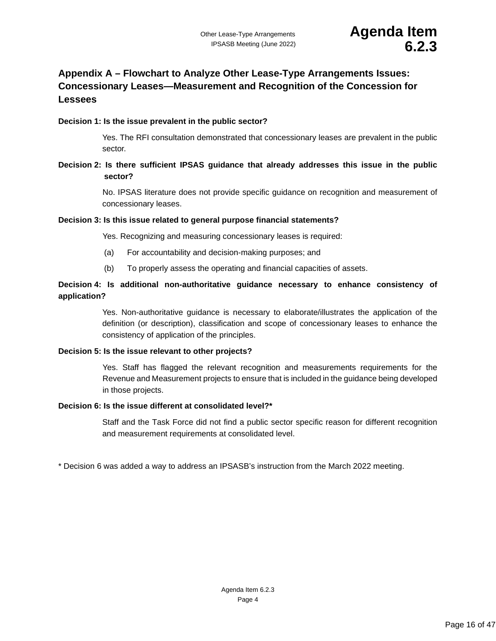# <span id="page-15-0"></span>**Appendix A – Flowchart to Analyze Other Lease-Type Arrangements Issues: Concessionary Leases—Measurement and Recognition of the Concession for Lessees**

#### **Decision 1: Is the issue prevalent in the public sector?**

Yes. The RFI consultation demonstrated that concessionary leases are prevalent in the public sector.

## **Decision 2: Is there sufficient IPSAS guidance that already addresses this issue in the public sector?**

No. IPSAS literature does not provide specific guidance on recognition and measurement of concessionary leases.

#### **Decision 3: Is this issue related to general purpose financial statements?**

Yes. Recognizing and measuring concessionary leases is required:

- (a) For accountability and decision-making purposes; and
- (b) To properly assess the operating and financial capacities of assets.

### **Decision 4: Is additional non-authoritative guidance necessary to enhance consistency of application?**

Yes. Non-authoritative guidance is necessary to elaborate/illustrates the application of the definition (or description), classification and scope of concessionary leases to enhance the consistency of application of the principles.

#### **Decision 5: Is the issue relevant to other projects?**

Yes. Staff has flagged the relevant recognition and measurements requirements for the Revenue and Measurement projects to ensure that is included in the guidance being developed in those projects.

#### **Decision 6: Is the issue different at consolidated level?\***

Staff and the Task Force did not find a public sector specific reason for different recognition and measurement requirements at consolidated level.

\* Decision 6 was added a way to address an IPSASB's instruction from the March 2022 meeting.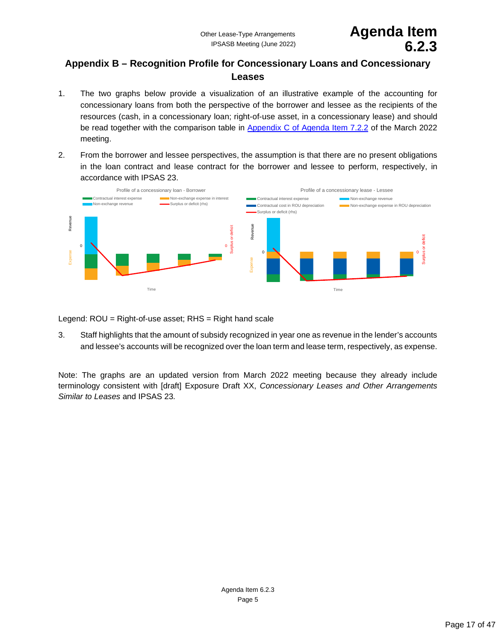# Other Lease-Type Arrangements **Agenda Item** IPSASB Meeting (June 2022) **6.2.3**

# <span id="page-16-0"></span>**Appendix B – Recognition Profile for Concessionary Loans and Concessionary Leases**

- 1. The two graphs below provide a visualization of an illustrative example of the accounting for concessionary loans from both the perspective of the borrower and lessee as the recipients of the resources (cash, in a concessionary loan; right-of-use asset, in a concessionary lease) and should be read together with the comparison table in [Appendix C of](https://www.ifac.org/system/files/meetings/files/7-Other-Lease-type-Arrangements_Final.pdf) Agenda Item 7.2.2 of the March 2022 meeting.
- 2. From the borrower and lessee perspectives, the assumption is that there are no present obligations in the loan contract and lease contract for the borrower and lessee to perform, respectively, in accordance with IPSAS 23.



Legend: ROU = Right-of-use asset; RHS = Right hand scale

3. Staff highlights that the amount of subsidy recognized in year one as revenue in the lender's accounts and lessee's accounts will be recognized over the loan term and lease term, respectively, as expense.

Note: The graphs are an updated version from March 2022 meeting because they already include terminology consistent with [draft] Exposure Draft XX, *Concessionary Leases and Other Arrangements Similar to Leases* and IPSAS 23*.*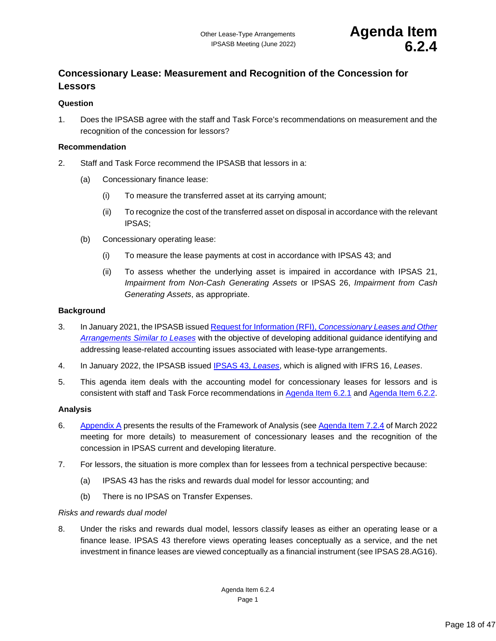# <span id="page-17-1"></span><span id="page-17-0"></span>**Concessionary Lease: Measurement and Recognition of the Concession for Lessors**

### **Question**

1. Does the IPSASB agree with the staff and Task Force's recommendations on measurement and the recognition of the concession for lessors?

#### **Recommendation**

- 2. Staff and Task Force recommend the IPSASB that lessors in a:
	- (a) Concessionary finance lease:
		- (i) To measure the transferred asset at its carrying amount;
		- (ii) To recognize the cost of the transferred asset on disposal in accordance with the relevant IPSAS;
	- (b) Concessionary operating lease:
		- (i) To measure the lease payments at cost in accordance with IPSAS 43; and
		- (ii) To assess whether the underlying asset is impaired in accordance with IPSAS 21, *Impairment from Non-Cash Generating Assets* or IPSAS 26, *Impairment from Cash Generating Assets*, as appropriate.

### **Background**

- 3. In January 2021, the IPSASB issued Request for Information (RFI), *[Concessionary Leases and Other](https://www.ifac.org/system/files/publications/files/IPSASB-Request-For-Information-Leases.pdf)  [Arrangements Similar to Leases](https://www.ifac.org/system/files/publications/files/IPSASB-Request-For-Information-Leases.pdf)* with the objective of developing additional guidance identifying and addressing lease-related accounting issues associated with lease-type arrangements.
- 4. In January 2022, the IPSASB issued [IPSAS 43,](https://www.ipsasb.org/publications/ipsas-43-leases) *Leases*, which is aligned with IFRS 16, *Leases*.
- 5. This agenda item deals with the accounting model for concessionary leases for lessors and is consistent with staff and Task Force recommendations in [Agenda Item 6.2.1](#page-5-0) and [Agenda Item 6.2.2.](#page-8-0)

### **Analysis**

- 6. [Appendix A](#page-21-0) presents the results of the Framework of Analysis (see [Agenda Item 7.2.4](https://www.ifac.org/system/files/meetings/files/7-Other-Lease-type-Arrangements_Final.pdf) of March 2022 meeting for more details) to measurement of concessionary leases and the recognition of the concession in IPSAS current and developing literature.
- 7. For lessors, the situation is more complex than for lessees from a technical perspective because:
	- (a) IPSAS 43 has the risks and rewards dual model for lessor accounting; and
	- (b) There is no IPSAS on Transfer Expenses.

### *Risks and rewards dual model*

8. Under the risks and rewards dual model, lessors classify leases as either an operating lease or a finance lease. IPSAS 43 therefore views operating leases conceptually as a service, and the net investment in finance leases are viewed conceptually as a financial instrument (see IPSAS 28.AG16).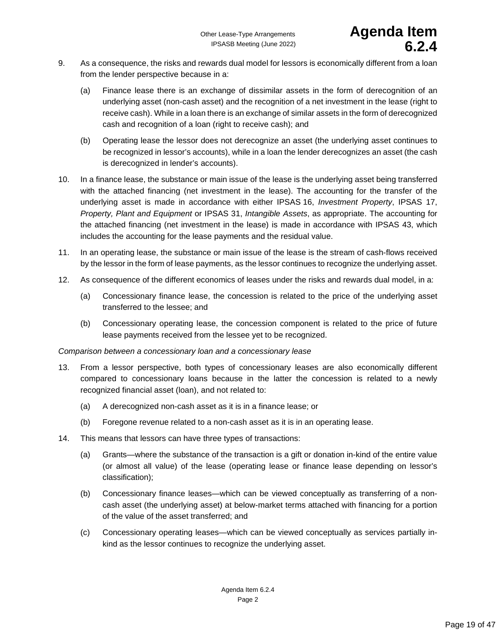- 9. As a consequence, the risks and rewards dual model for lessors is economically different from a loan from the lender perspective because in a:
	- (a) Finance lease there is an exchange of dissimilar assets in the form of derecognition of an underlying asset (non-cash asset) and the recognition of a net investment in the lease (right to receive cash). While in a loan there is an exchange of similar assets in the form of derecognized cash and recognition of a loan (right to receive cash); and
	- (b) Operating lease the lessor does not derecognize an asset (the underlying asset continues to be recognized in lessor's accounts), while in a loan the lender derecognizes an asset (the cash is derecognized in lender's accounts).
- 10. In a finance lease, the substance or main issue of the lease is the underlying asset being transferred with the attached financing (net investment in the lease). The accounting for the transfer of the underlying asset is made in accordance with either IPSAS 16, *Investment Property*, IPSAS 17, *Property, Plant and Equipment* or IPSAS 31, *Intangible Assets*, as appropriate. The accounting for the attached financing (net investment in the lease) is made in accordance with IPSAS 43, which includes the accounting for the lease payments and the residual value.
- 11. In an operating lease, the substance or main issue of the lease is the stream of cash-flows received by the lessor in the form of lease payments, as the lessor continues to recognize the underlying asset.
- 12. As consequence of the different economics of leases under the risks and rewards dual model, in a:
	- (a) Concessionary finance lease, the concession is related to the price of the underlying asset transferred to the lessee; and
	- (b) Concessionary operating lease, the concession component is related to the price of future lease payments received from the lessee yet to be recognized.

### *Comparison between a concessionary loan and a concessionary lease*

- 13. From a lessor perspective, both types of concessionary leases are also economically different compared to concessionary loans because in the latter the concession is related to a newly recognized financial asset (loan), and not related to:
	- (a) A derecognized non-cash asset as it is in a finance lease; or
	- (b) Foregone revenue related to a non-cash asset as it is in an operating lease.
- 14. This means that lessors can have three types of transactions:
	- (a) Grants—where the substance of the transaction is a gift or donation in-kind of the entire value (or almost all value) of the lease (operating lease or finance lease depending on lessor's classification);
	- (b) Concessionary finance leases—which can be viewed conceptually as transferring of a noncash asset (the underlying asset) at below-market terms attached with financing for a portion of the value of the asset transferred; and
	- (c) Concessionary operating leases—which can be viewed conceptually as services partially inkind as the lessor continues to recognize the underlying asset.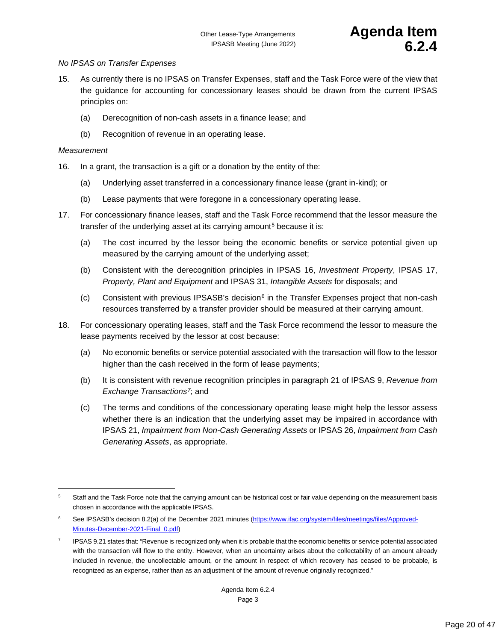#### *No IPSAS on Transfer Expenses*

- 15. As currently there is no IPSAS on Transfer Expenses, staff and the Task Force were of the view that the guidance for accounting for concessionary leases should be drawn from the current IPSAS principles on:
	- (a) Derecognition of non-cash assets in a finance lease; and
	- (b) Recognition of revenue in an operating lease.

### *Measurement*

- 16. In a grant, the transaction is a gift or a donation by the entity of the:
	- (a) Underlying asset transferred in a concessionary finance lease (grant in-kind); or
	- (b) Lease payments that were foregone in a concessionary operating lease.
- 17. For concessionary finance leases, staff and the Task Force recommend that the lessor measure the transfer of the underlying asset at its carrying amount<sup>[5](#page-19-0)</sup> because it is:
	- (a) The cost incurred by the lessor being the economic benefits or service potential given up measured by the carrying amount of the underlying asset;
	- (b) Consistent with the derecognition principles in IPSAS 16, *Investment Property*, IPSAS 17, *Property, Plant and Equipment* and IPSAS 31, *Intangible Assets* for disposals; and
	- (c) Consistent with previous IPSASB's decision $6$  in the Transfer Expenses project that non-cash resources transferred by a transfer provider should be measured at their carrying amount.
- 18. For concessionary operating leases, staff and the Task Force recommend the lessor to measure the lease payments received by the lessor at cost because:
	- (a) No economic benefits or service potential associated with the transaction will flow to the lessor higher than the cash received in the form of lease payments;
	- (b) It is consistent with revenue recognition principles in paragraph 21 of IPSAS 9, *Revenue from Exchange Transactions[7](#page-19-2)*; and
	- (c) The terms and conditions of the concessionary operating lease might help the lessor assess whether there is an indication that the underlying asset may be impaired in accordance with IPSAS 21, *Impairment from Non-Cash Generating Assets* or IPSAS 26, *Impairment from Cash Generating Assets*, as appropriate.

<span id="page-19-0"></span><sup>&</sup>lt;sup>5</sup> Staff and the Task Force note that the carrying amount can be historical cost or fair value depending on the measurement basis chosen in accordance with the applicable IPSAS.

<span id="page-19-1"></span><sup>&</sup>lt;sup>6</sup> See IPSASB's decision 8.2(a) of the December 2021 minutes [\(https://www.ifac.org/system/files/meetings/files/Approved-](https://www.ifac.org/system/files/meetings/files/Approved-Minutes-December-2021-Final_0.pdf)[Minutes-December-2021-Final\\_0.pdf\)](https://www.ifac.org/system/files/meetings/files/Approved-Minutes-December-2021-Final_0.pdf)

<span id="page-19-2"></span> $7$  IPSAS 9.21 states that: "Revenue is recognized only when it is probable that the economic benefits or service potential associated with the transaction will flow to the entity. However, when an uncertainty arises about the collectability of an amount already included in revenue, the uncollectable amount, or the amount in respect of which recovery has ceased to be probable, is recognized as an expense, rather than as an adjustment of the amount of revenue originally recognized."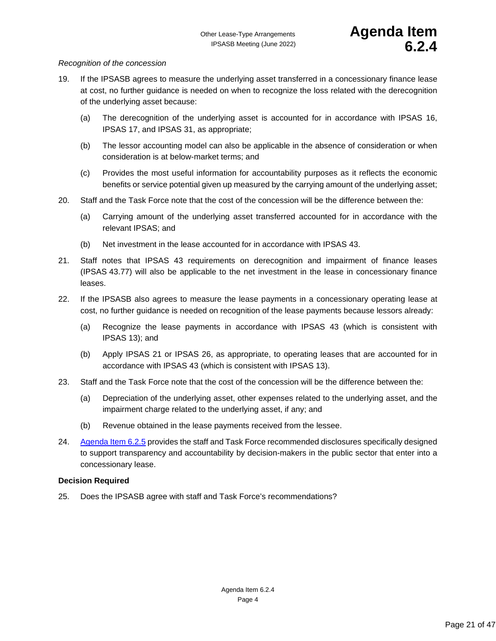#### *Recognition of the concession*

- 19. If the IPSASB agrees to measure the underlying asset transferred in a concessionary finance lease at cost, no further guidance is needed on when to recognize the loss related with the derecognition of the underlying asset because:
	- (a) The derecognition of the underlying asset is accounted for in accordance with IPSAS 16, IPSAS 17, and IPSAS 31, as appropriate;
	- (b) The lessor accounting model can also be applicable in the absence of consideration or when consideration is at below-market terms; and
	- (c) Provides the most useful information for accountability purposes as it reflects the economic benefits or service potential given up measured by the carrying amount of the underlying asset;
- 20. Staff and the Task Force note that the cost of the concession will be the difference between the:
	- (a) Carrying amount of the underlying asset transferred accounted for in accordance with the relevant IPSAS; and
	- (b) Net investment in the lease accounted for in accordance with IPSAS 43.
- 21. Staff notes that IPSAS 43 requirements on derecognition and impairment of finance leases (IPSAS 43.77) will also be applicable to the net investment in the lease in concessionary finance leases.
- 22. If the IPSASB also agrees to measure the lease payments in a concessionary operating lease at cost, no further guidance is needed on recognition of the lease payments because lessors already:
	- (a) Recognize the lease payments in accordance with IPSAS 43 (which is consistent with IPSAS 13); and
	- (b) Apply IPSAS 21 or IPSAS 26, as appropriate, to operating leases that are accounted for in accordance with IPSAS 43 (which is consistent with IPSAS 13).
- 23. Staff and the Task Force note that the cost of the concession will be the difference between the:
	- (a) Depreciation of the underlying asset, other expenses related to the underlying asset, and the impairment charge related to the underlying asset, if any; and
	- (b) Revenue obtained in the lease payments received from the lessee.
- 24. [Agenda Item 6.2.5](#page-22-0) provides the staff and Task Force recommended disclosures specifically designed to support transparency and accountability by decision-makers in the public sector that enter into a concessionary lease.

#### **Decision Required**

25. Does the IPSASB agree with staff and Task Force's recommendations?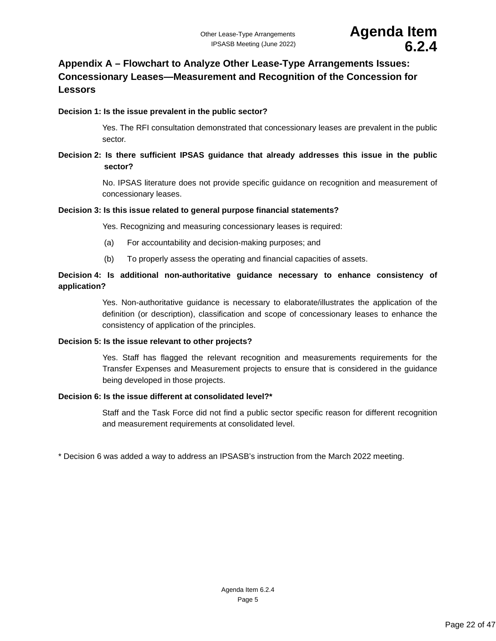# <span id="page-21-0"></span>**Appendix A – Flowchart to Analyze Other Lease-Type Arrangements Issues: Concessionary Leases—Measurement and Recognition of the Concession for Lessors**

### **Decision 1: Is the issue prevalent in the public sector?**

Yes. The RFI consultation demonstrated that concessionary leases are prevalent in the public sector.

## **Decision 2: Is there sufficient IPSAS guidance that already addresses this issue in the public sector?**

No. IPSAS literature does not provide specific guidance on recognition and measurement of concessionary leases.

#### **Decision 3: Is this issue related to general purpose financial statements?**

Yes. Recognizing and measuring concessionary leases is required:

- (a) For accountability and decision-making purposes; and
- (b) To properly assess the operating and financial capacities of assets.

# **Decision 4: Is additional non-authoritative guidance necessary to enhance consistency of application?**

Yes. Non-authoritative guidance is necessary to elaborate/illustrates the application of the definition (or description), classification and scope of concessionary leases to enhance the consistency of application of the principles.

#### **Decision 5: Is the issue relevant to other projects?**

Yes. Staff has flagged the relevant recognition and measurements requirements for the Transfer Expenses and Measurement projects to ensure that is considered in the guidance being developed in those projects.

### **Decision 6: Is the issue different at consolidated level?\***

Staff and the Task Force did not find a public sector specific reason for different recognition and measurement requirements at consolidated level.

\* Decision 6 was added a way to address an IPSASB's instruction from the March 2022 meeting.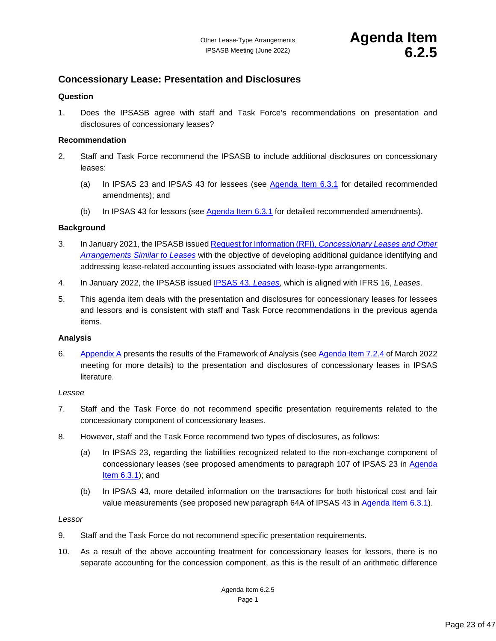# <span id="page-22-1"></span><span id="page-22-0"></span>**Concessionary Lease: Presentation and Disclosures**

#### **Question**

1. Does the IPSASB agree with staff and Task Force's recommendations on presentation and disclosures of concessionary leases?

#### **Recommendation**

- 2. Staff and Task Force recommend the IPSASB to include additional disclosures on concessionary leases:
	- (a) In IPSAS 23 and IPSAS 43 for lessees (see [Agenda Item 6.3.1](#page-25-0) for detailed recommended amendments); and
	- (b) In IPSAS 43 for lessors (see [Agenda Item 6.3.1](#page-25-0) for detailed recommended amendments).

#### **Background**

- 3. In January 2021, the IPSASB issued Request for Information (RFI), *[Concessionary Leases and Other](https://www.ifac.org/system/files/publications/files/IPSASB-Request-For-Information-Leases.pdf)  [Arrangements Similar to Leases](https://www.ifac.org/system/files/publications/files/IPSASB-Request-For-Information-Leases.pdf)* with the objective of developing additional guidance identifying and addressing lease-related accounting issues associated with lease-type arrangements.
- 4. In January 2022, the IPSASB issued [IPSAS 43,](https://www.ipsasb.org/publications/ipsas-43-leases) *Leases*, which is aligned with IFRS 16, *Leases*.
- 5. This agenda item deals with the presentation and disclosures for concessionary leases for lessees and lessors and is consistent with staff and Task Force recommendations in the previous agenda items.

#### **Analysis**

6. [Appendix A](#page-24-0) presents the results of the Framework of Analysis (see [Agenda Item 7.2.4](https://www.ifac.org/system/files/meetings/files/7-Other-Lease-type-Arrangements_Final.pdf) of March 2022 meeting for more details) to the presentation and disclosures of concessionary leases in IPSAS literature.

#### *Lessee*

- 7. Staff and the Task Force do not recommend specific presentation requirements related to the concessionary component of concessionary leases.
- 8. However, staff and the Task Force recommend two types of disclosures, as follows:
	- (a) In IPSAS 23, regarding the liabilities recognized related to the non-exchange component of concessionary leases (see proposed amendments to paragraph 107 of IPSAS 23 in [Agenda](#page-25-0)  [Item 6.3.1\)](#page-25-0); and
	- (b) In IPSAS 43, more detailed information on the transactions for both historical cost and fair value measurements (see proposed new paragraph 64A of IPSAS 43 in [Agenda Item 6.3.1\)](#page-25-0).

#### *Lessor*

- 9. Staff and the Task Force do not recommend specific presentation requirements.
- 10. As a result of the above accounting treatment for concessionary leases for lessors, there is no separate accounting for the concession component, as this is the result of an arithmetic difference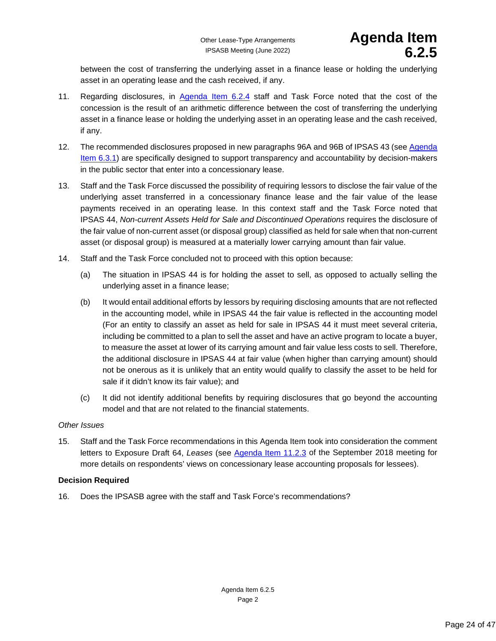between the cost of transferring the underlying asset in a finance lease or holding the underlying asset in an operating lease and the cash received, if any.

- 11. Regarding disclosures, in [Agenda Item 6.2.4](#page-17-0) staff and Task Force noted that the cost of the concession is the result of an arithmetic difference between the cost of transferring the underlying asset in a finance lease or holding the underlying asset in an operating lease and the cash received, if any.
- 12. The recommended disclosures proposed in new paragraphs 96A and 96B of IPSAS 43 (see [Agenda](#page-25-0)  [Item 6.3.1\)](#page-25-0) are specifically designed to support transparency and accountability by decision-makers in the public sector that enter into a concessionary lease.
- 13. Staff and the Task Force discussed the possibility of requiring lessors to disclose the fair value of the underlying asset transferred in a concessionary finance lease and the fair value of the lease payments received in an operating lease. In this context staff and the Task Force noted that IPSAS 44, *Non-current Assets Held for Sale and Discontinued Operations* requires the disclosure of the fair value of non-current asset (or disposal group) classified as held for sale when that non-current asset (or disposal group) is measured at a materially lower carrying amount than fair value.
- 14. Staff and the Task Force concluded not to proceed with this option because:
	- (a) The situation in IPSAS 44 is for holding the asset to sell, as opposed to actually selling the underlying asset in a finance lease;
	- (b) It would entail additional efforts by lessors by requiring disclosing amounts that are not reflected in the accounting model, while in IPSAS 44 the fair value is reflected in the accounting model (For an entity to classify an asset as held for sale in IPSAS 44 it must meet several criteria, including be committed to a plan to sell the asset and have an active program to locate a buyer, to measure the asset at lower of its carrying amount and fair value less costs to sell. Therefore, the additional disclosure in IPSAS 44 at fair value (when higher than carrying amount) should not be onerous as it is unlikely that an entity would qualify to classify the asset to be held for sale if it didn't know its fair value); and
	- (c) It did not identify additional benefits by requiring disclosures that go beyond the accounting model and that are not related to the financial statements.

### *Other Issues*

15. Staff and the Task Force recommendations in this Agenda Item took into consideration the comment letters to Exposure Draft 64, *Leases* (see [Agenda Item 11.2.3](https://www.ifac.org/system/files/meetings/files/Agenda-Item-11-Leases_final.pdf) of the September 2018 meeting for more details on respondents' views on concessionary lease accounting proposals for lessees).

### **Decision Required**

16. Does the IPSASB agree with the staff and Task Force's recommendations?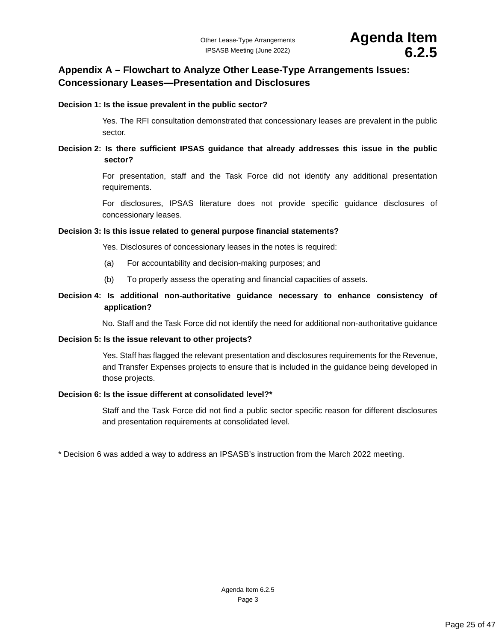# <span id="page-24-0"></span>**Appendix A – Flowchart to Analyze Other Lease-Type Arrangements Issues: Concessionary Leases—Presentation and Disclosures**

#### **Decision 1: Is the issue prevalent in the public sector?**

Yes. The RFI consultation demonstrated that concessionary leases are prevalent in the public sector.

# **Decision 2: Is there sufficient IPSAS guidance that already addresses this issue in the public sector?**

For presentation, staff and the Task Force did not identify any additional presentation requirements.

For disclosures, IPSAS literature does not provide specific guidance disclosures of concessionary leases.

#### **Decision 3: Is this issue related to general purpose financial statements?**

Yes. Disclosures of concessionary leases in the notes is required:

- (a) For accountability and decision-making purposes; and
- (b) To properly assess the operating and financial capacities of assets.

# **Decision 4: Is additional non-authoritative guidance necessary to enhance consistency of application?**

No. Staff and the Task Force did not identify the need for additional non-authoritative guidance

#### **Decision 5: Is the issue relevant to other projects?**

Yes. Staff has flagged the relevant presentation and disclosures requirements for the Revenue, and Transfer Expenses projects to ensure that is included in the guidance being developed in those projects.

#### **Decision 6: Is the issue different at consolidated level?\***

Staff and the Task Force did not find a public sector specific reason for different disclosures and presentation requirements at consolidated level.

\* Decision 6 was added a way to address an IPSASB's instruction from the March 2022 meeting.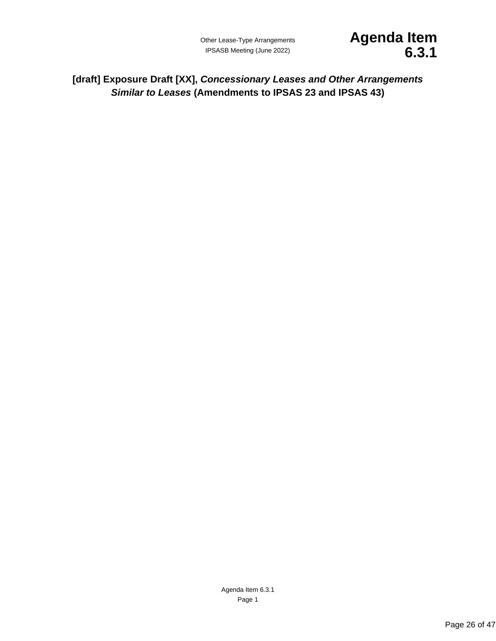

<span id="page-25-1"></span><span id="page-25-0"></span>**[draft] Exposure Draft [XX],** *Concessionary Leases and Other Arrangements Similar to Leases* **(Amendments to IPSAS 23 and IPSAS 43)**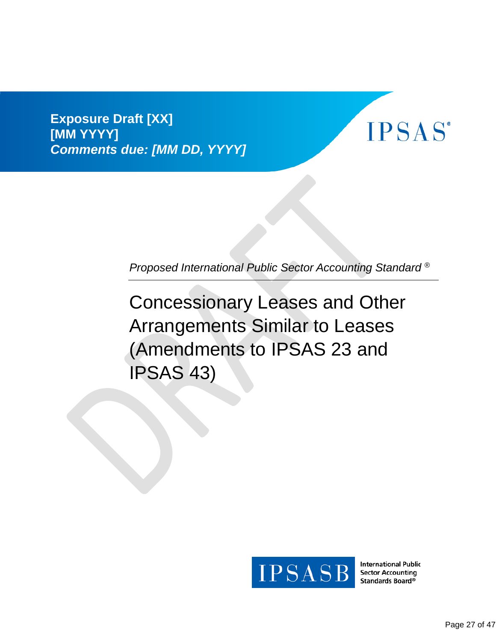**Exposure Draft [XX] [MM YYYY]** *Comments due: [MM DD, YYYY]*



*Proposed International Public Sector Accounting Standard ®*

Concessionary Leases and Other Arrangements Similar to Leases (Amendments to IPSAS 23 and IPSAS 43)



**International Public Sector Accounting** Standards Board®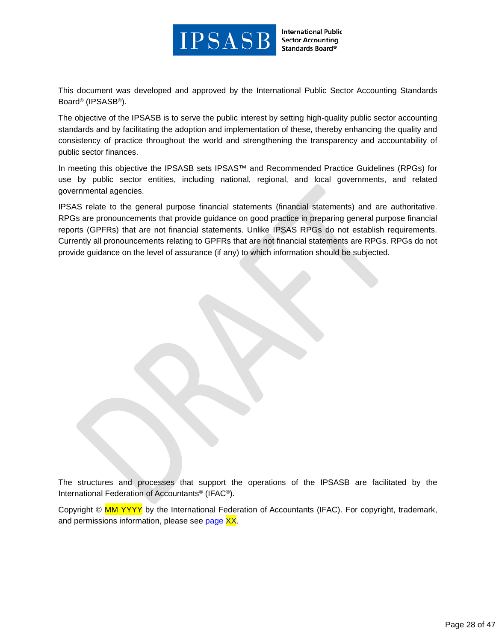

**International Public Sector Accounting** Standards Board®

This document was developed and approved by the International Public Sector Accounting Standards Board® (IPSASB®).

The objective of the IPSASB is to serve the public interest by setting high-quality public sector accounting standards and by facilitating the adoption and implementation of these, thereby enhancing the quality and consistency of practice throughout the world and strengthening the transparency and accountability of public sector finances.

In meeting this objective the IPSASB sets IPSAS™ and Recommended Practice Guidelines (RPGs) for use by public sector entities, including national, regional, and local governments, and related governmental agencies.

IPSAS relate to the general purpose financial statements (financial statements) and are authoritative. RPGs are pronouncements that provide guidance on good practice in preparing general purpose financial reports (GPFRs) that are not financial statements. Unlike IPSAS RPGs do not establish requirements. Currently all pronouncements relating to GPFRs that are not financial statements are RPGs. RPGs do not provide guidance on the level of assurance (if any) to which information should be subjected.

The structures and processes that support the operations of the IPSASB are facilitated by the International Federation of Accountants® (IFAC®).

Copyright © MM YYYY by the International Federation of Accountants (IFAC). For copyright, trademark, and permissions information, please see [page XX.](#page-45-0)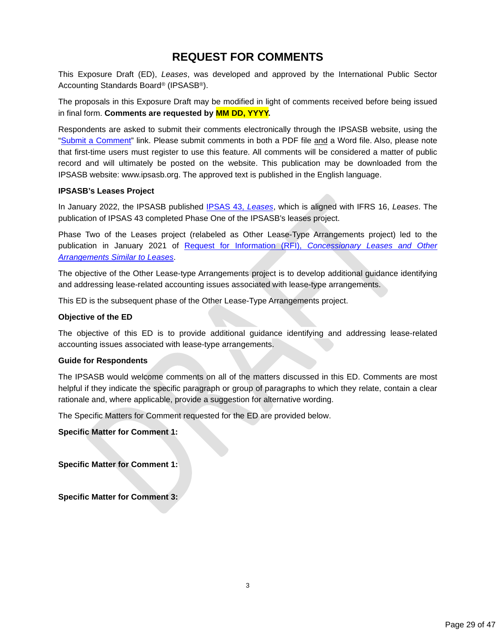# **REQUEST FOR COMMENTS**

This Exposure Draft (ED), *Leases*, was developed and approved by the International Public Sector Accounting Standards Board® (IPSASB®).

The proposals in this Exposure Draft may be modified in light of comments received before being issued in final form. **Comments are requested by MM DD, YYYY.**

Respondents are asked to submit their comments electronically through the IPSASB website, using the ["Submit a Comment"](https://www.ipsasb.org/publications/exposure-draft-75-leases) link. Please submit comments in both a PDF file and a Word file. Also, please note that first-time users must register to use this feature. All comments will be considered a matter of public record and will ultimately be posted on the website. This publication may be downloaded from the IPSASB website: www.ipsasb.org. The approved text is published in the English language.

#### **IPSASB's Leases Project**

In January 2022, the IPSASB published [IPSAS 43,](https://www.ipsasb.org/publications/ipsas-43-leases) *Leases*, which is aligned with IFRS 16, *Leases*. The publication of IPSAS 43 completed Phase One of the IPSASB's leases project.

Phase Two of the Leases project (relabeled as Other Lease-Type Arrangements project) led to the publication in January 2021 of Request for Information (RFI), *[Concessionary Leases and Other](https://www.ipsasb.org/publications/request-information-concessionary-leases-and-other-arrangements-similar-leases)  [Arrangements Similar to Leases](https://www.ipsasb.org/publications/request-information-concessionary-leases-and-other-arrangements-similar-leases)*.

The objective of the Other Lease-type Arrangements project is to develop additional guidance identifying and addressing lease-related accounting issues associated with lease-type arrangements.

This ED is the subsequent phase of the Other Lease-Type Arrangements project.

#### **Objective of the ED**

The objective of this ED is to provide additional guidance identifying and addressing lease-related accounting issues associated with lease-type arrangements.

#### **Guide for Respondents**

The IPSASB would welcome comments on all of the matters discussed in this ED. Comments are most helpful if they indicate the specific paragraph or group of paragraphs to which they relate, contain a clear rationale and, where applicable, provide a suggestion for alternative wording.

The Specific Matters for Comment requested for the ED are provided below.

**Specific Matter for Comment 1:**

**Specific Matter for Comment 1:**

**Specific Matter for Comment 3:**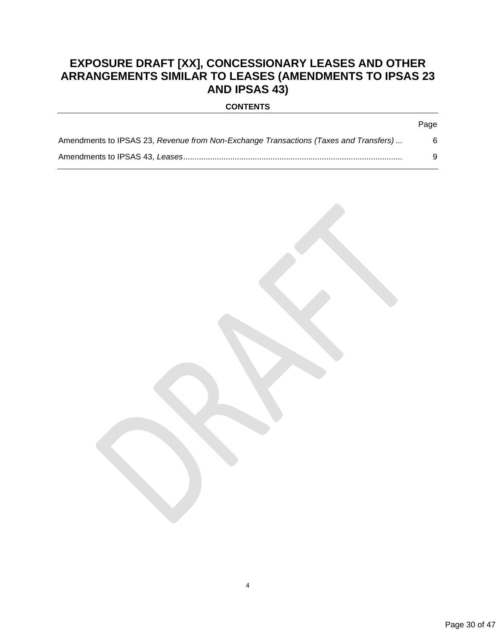# **EXPOSURE DRAFT [XX], CONCESSIONARY LEASES AND OTHER ARRANGEMENTS SIMILAR TO LEASES (AMENDMENTS TO IPSAS 23 AND IPSAS 43)**

| <b>CONTENTS</b> |  |
|-----------------|--|
|-----------------|--|

| Amendments to IPSAS 23, Revenue from Non-Exchange Transactions (Taxes and Transfers) |  |
|--------------------------------------------------------------------------------------|--|
|                                                                                      |  |



Page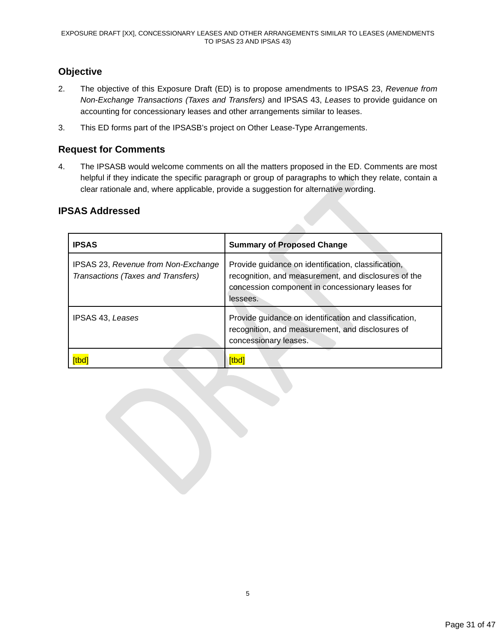# **Objective**

- 2. The objective of this Exposure Draft (ED) is to propose amendments to IPSAS 23, *Revenue from Non-Exchange Transactions (Taxes and Transfers)* and IPSAS 43, *Leases* to provide guidance on accounting for concessionary leases and other arrangements similar to leases.
- 3. This ED forms part of the IPSASB's project on Other Lease-Type Arrangements.

# **Request for Comments**

4. The IPSASB would welcome comments on all the matters proposed in the ED. Comments are most helpful if they indicate the specific paragraph or group of paragraphs to which they relate, contain a clear rationale and, where applicable, provide a suggestion for alternative wording.

| <b>IPSAS</b>                                                              | <b>Summary of Proposed Change</b>                                                                                                                                           |
|---------------------------------------------------------------------------|-----------------------------------------------------------------------------------------------------------------------------------------------------------------------------|
| IPSAS 23, Revenue from Non-Exchange<br>Transactions (Taxes and Transfers) | Provide guidance on identification, classification,<br>recognition, and measurement, and disclosures of the<br>concession component in concessionary leases for<br>lessees. |
| IPSAS 43, Leases                                                          | Provide guidance on identification and classification,<br>recognition, and measurement, and disclosures of<br>concessionary leases.                                         |
|                                                                           | <b>tbo</b>                                                                                                                                                                  |

# **IPSAS Addressed**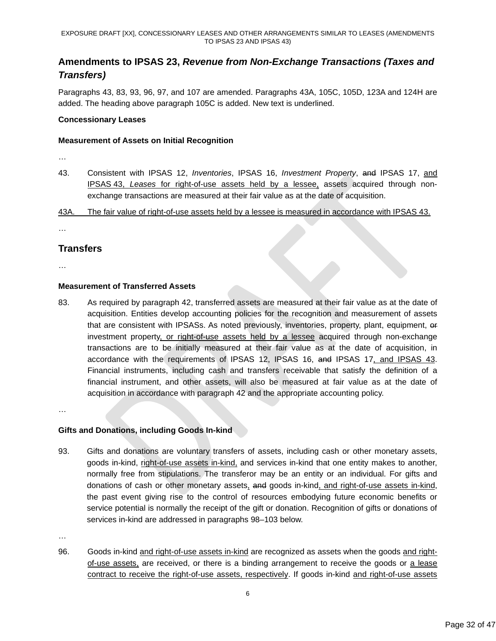# <span id="page-31-0"></span>**Amendments to IPSAS 23,** *Revenue from Non-Exchange Transactions (Taxes and Transfers)*

Paragraphs 43, 83, 93, 96, 97, and 107 are amended. Paragraphs 43A, 105C, 105D, 123A and 124H are added. The heading above paragraph 105C is added. New text is underlined.

#### **Concessionary Leases**

#### **Measurement of Assets on Initial Recognition**

- …
- 43. Consistent with IPSAS 12, *Inventories*, IPSAS 16, *Investment Property*, and IPSAS 17, and IPSAS 43, *Leases* for right-of-use assets held by a lessee, assets acquired through nonexchange transactions are measured at their fair value as at the date of acquisition.

43A. The fair value of right-of-use assets held by a lessee is measured in accordance with IPSAS 43.

…

# **Transfers**

…

### **Measurement of Transferred Assets**

83. As required by paragraph 42, transferred assets are measured at their fair value as at the date of acquisition. Entities develop accounting policies for the recognition and measurement of assets that are consistent with IPSASs. As noted previously, inventories, property, plant, equipment, or investment property, or right-of-use assets held by a lessee acquired through non-exchange transactions are to be initially measured at their fair value as at the date of acquisition, in accordance with the requirements of IPSAS 12, IPSAS 16, and IPSAS 17, and IPSAS 43. Financial instruments, including cash and transfers receivable that satisfy the definition of a financial instrument, and other assets, will also be measured at fair value as at the date of acquisition in accordance with paragraph 42 and the appropriate accounting policy.

…

### **Gifts and Donations, including Goods In-kind**

93. Gifts and donations are voluntary transfers of assets, including cash or other monetary assets, goods in-kind, right-of-use assets in-kind, and services in-kind that one entity makes to another, normally free from stipulations. The transferor may be an entity or an individual. For gifts and donations of cash or other monetary assets, and goods in-kind, and right-of-use assets in-kind, the past event giving rise to the control of resources embodying future economic benefits or service potential is normally the receipt of the gift or donation. Recognition of gifts or donations of services in-kind are addressed in paragraphs 98–103 below.

…

96. Goods in-kind and right-of-use assets in-kind are recognized as assets when the goods and rightof-use assets, are received, or there is a binding arrangement to receive the goods or a lease contract to receive the right-of-use assets, respectively. If goods in-kind and right-of-use assets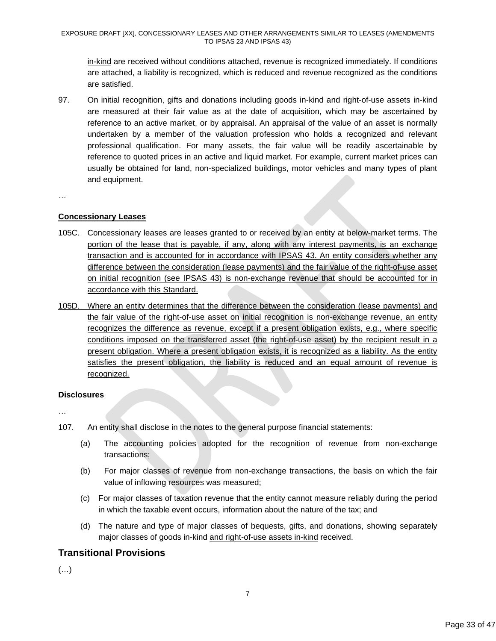in-kind are received without conditions attached, revenue is recognized immediately. If conditions are attached, a liability is recognized, which is reduced and revenue recognized as the conditions are satisfied.

97. On initial recognition, gifts and donations including goods in-kind and right-of-use assets in-kind are measured at their fair value as at the date of acquisition, which may be ascertained by reference to an active market, or by appraisal. An appraisal of the value of an asset is normally undertaken by a member of the valuation profession who holds a recognized and relevant professional qualification. For many assets, the fair value will be readily ascertainable by reference to quoted prices in an active and liquid market. For example, current market prices can usually be obtained for land, non-specialized buildings, motor vehicles and many types of plant and equipment.

…

### **Concessionary Leases**

- 105C. Concessionary leases are leases granted to or received by an entity at below-market terms. The portion of the lease that is payable, if any, along with any interest payments, is an exchange transaction and is accounted for in accordance with IPSAS 43. An entity considers whether any difference between the consideration (lease payments) and the fair value of the right-of-use asset on initial recognition (see IPSAS 43) is non-exchange revenue that should be accounted for in accordance with this Standard.
- 105D. Where an entity determines that the difference between the consideration (lease payments) and the fair value of the right-of-use asset on initial recognition is non-exchange revenue, an entity recognizes the difference as revenue, except if a present obligation exists, e.g., where specific conditions imposed on the transferred asset (the right-of-use asset) by the recipient result in a present obligation. Where a present obligation exists, it is recognized as a liability. As the entity satisfies the present obligation, the liability is reduced and an equal amount of revenue is recognized.

### **Disclosures**

…

- 107. An entity shall disclose in the notes to the general purpose financial statements:
	- (a) The accounting policies adopted for the recognition of revenue from non-exchange transactions;
	- (b) For major classes of revenue from non-exchange transactions, the basis on which the fair value of inflowing resources was measured;
	- (c) For major classes of taxation revenue that the entity cannot measure reliably during the period in which the taxable event occurs, information about the nature of the tax; and
	- (d) The nature and type of major classes of bequests, gifts, and donations, showing separately major classes of goods in-kind and right-of-use assets in-kind received.

# **Transitional Provisions**

(…)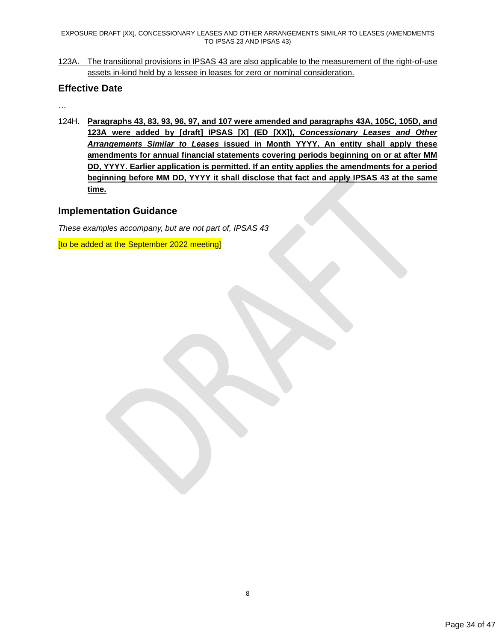EXPOSURE DRAFT [XX], CONCESSIONARY LEASES AND OTHER ARRANGEMENTS SIMILAR TO LEASES (AMENDMENTS TO IPSAS 23 AND IPSAS 43)

123A. The transitional provisions in IPSAS 43 are also applicable to the measurement of the right-of-use assets in-kind held by a lessee in leases for zero or nominal consideration.

# **Effective Date**

…

124H. **Paragraphs 43, 83, 93, 96, 97, and 107 were amended and paragraphs 43A, 105C, 105D, and 123A were added by [draft] IPSAS [X] (ED [XX]),** *Concessionary Leases and Other Arrangements Similar to Leases* **issued in Month YYYY. An entity shall apply these amendments for annual financial statements covering periods beginning on or at after MM DD, YYYY. Earlier application is permitted. If an entity applies the amendments for a period beginning before MM DD, YYYY it shall disclose that fact and apply IPSAS 43 at the same time.**

# **Implementation Guidance**

*These examples accompany, but are not part of, IPSAS 43*

[to be added at the September 2022 meeting]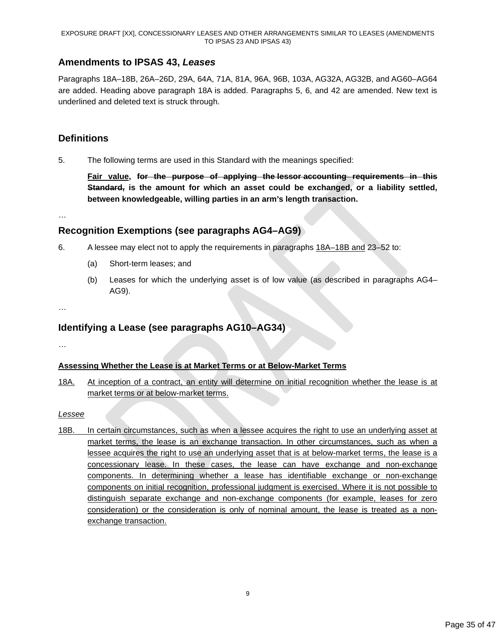# <span id="page-34-0"></span>**Amendments to IPSAS 43,** *Leases*

Paragraphs 18A–18B, 26A–26D, 29A, 64A, 71A, 81A, 96A, 96B, 103A, AG32A, AG32B, and AG60–AG64 are added. Heading above paragraph 18A is added. Paragraphs 5, 6, and 42 are amended. New text is underlined and deleted text is struck through.

# **Definitions**

5. The following terms are used in this Standard with the meanings specified:

**Fair value, for the purpose of applying the lessor accounting requirements in this Standard, is the amount for which an asset could be exchanged, or a liability settled, between knowledgeable, willing parties in an arm's length transaction.**

…

# **Recognition Exemptions (see paragraphs AG4–AG9)**

- 6. A lessee may elect not to apply the requirements in paragraphs 18A–18B and 23–52 to:
	- (a) Short-term leases; and
	- (b) Leases for which the underlying asset is of low value (as described in paragraphs AG4– AG9).
- …

# **Identifying a Lease (see paragraphs AG10–AG34)**

…

### **Assessing Whether the Lease is at Market Terms or at Below-Market Terms**

18A. At inception of a contract, an entity will determine on initial recognition whether the lease is at market terms or at below-market terms.

### *Lessee*

18B. In certain circumstances, such as when a lessee acquires the right to use an underlying asset at market terms, the lease is an exchange transaction. In other circumstances, such as when a lessee acquires the right to use an underlying asset that is at below-market terms, the lease is a concessionary lease. In these cases, the lease can have exchange and non-exchange components. In determining whether a lease has identifiable exchange or non-exchange components on initial recognition, professional judgment is exercised. Where it is not possible to distinguish separate exchange and non-exchange components (for example, leases for zero consideration) or the consideration is only of nominal amount, the lease is treated as a nonexchange transaction.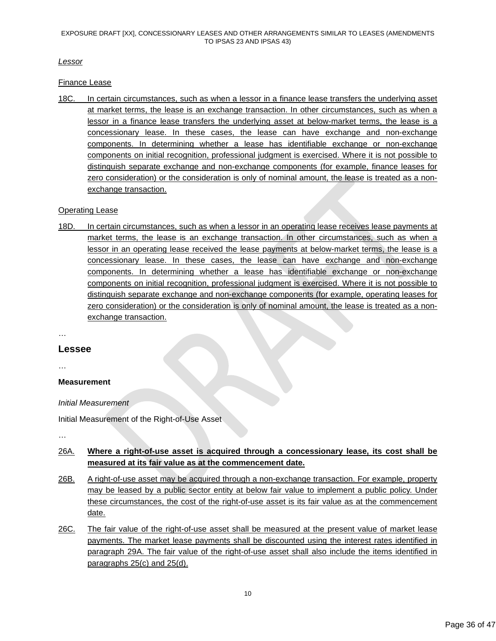*Lessor*

Finance Lease

18C. In certain circumstances, such as when a lessor in a finance lease transfers the underlying asset at market terms, the lease is an exchange transaction. In other circumstances, such as when a lessor in a finance lease transfers the underlying asset at below-market terms, the lease is a concessionary lease. In these cases, the lease can have exchange and non-exchange components. In determining whether a lease has identifiable exchange or non-exchange components on initial recognition, professional judgment is exercised. Where it is not possible to distinguish separate exchange and non-exchange components (for example, finance leases for zero consideration) or the consideration is only of nominal amount, the lease is treated as a nonexchange transaction.

# Operating Lease

18D. In certain circumstances, such as when a lessor in an operating lease receives lease payments at market terms, the lease is an exchange transaction. In other circumstances, such as when a lessor in an operating lease received the lease payments at below-market terms, the lease is a concessionary lease. In these cases, the lease can have exchange and non-exchange components. In determining whether a lease has identifiable exchange or non-exchange components on initial recognition, professional judgment is exercised. Where it is not possible to distinguish separate exchange and non-exchange components (for example, operating leases for zero consideration) or the consideration is only of nominal amount, the lease is treated as a nonexchange transaction.

…

### **Lessee**

…

# **Measurement**

*Initial Measurement*

Initial Measurement of the Right-of-Use Asset

…

# 26A. **Where a right-of-use asset is acquired through a concessionary lease, its cost shall be measured at its fair value as at the commencement date.**

- 26B. A right-of-use asset may be acquired through a non-exchange transaction. For example, property may be leased by a public sector entity at below fair value to implement a public policy. Under these circumstances, the cost of the right-of-use asset is its fair value as at the commencement date.
- 26C. The fair value of the right-of-use asset shall be measured at the present value of market lease payments. The market lease payments shall be discounted using the interest rates identified in paragraph 29A. The fair value of the right-of-use asset shall also include the items identified in paragraphs 25(c) and 25(d).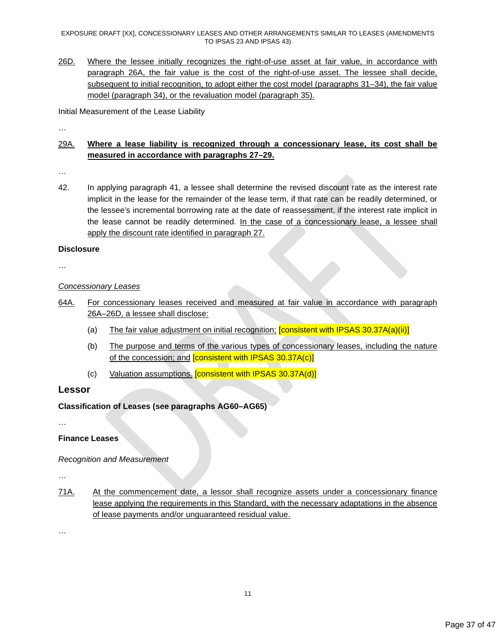EXPOSURE DRAFT [XX], CONCESSIONARY LEASES AND OTHER ARRANGEMENTS SIMILAR TO LEASES (AMENDMENTS TO IPSAS 23 AND IPSAS 43)

26D. Where the lessee initially recognizes the right-of-use asset at fair value, in accordance with paragraph 26A, the fair value is the cost of the right-of-use asset. The lessee shall decide, subsequent to initial recognition, to adopt either the cost model (paragraphs 31–34), the fair value model (paragraph 34), or the revaluation model (paragraph 35).

Initial Measurement of the Lease Liability

…

# 29A. **Where a lease liability is recognized through a concessionary lease, its cost shall be measured in accordance with paragraphs 27–29.**

…

42. In applying paragraph 41, a lessee shall determine the revised discount rate as the interest rate implicit in the lease for the remainder of the lease term, if that rate can be readily determined, or the lessee's incremental borrowing rate at the date of reassessment, if the interest rate implicit in the lease cannot be readily determined. In the case of a concessionary lease, a lessee shall apply the discount rate identified in paragraph 27.

#### **Disclosure**

…

### *Concessionary Leases*

- 64A. For concessionary leases received and measured at fair value in accordance with paragraph 26A–26D, a lessee shall disclose:
	- (a) The fair value adjustment on initial recognition; **[consistent with IPSAS 30.37A(a)(ii)]**
	- (b) The purpose and terms of the various types of concessionary leases, including the nature of the concession; and [consistent with IPSAS 30.37A(c)]
	- (c) Valuation assumptions. **[consistent with IPSAS 30.37A(d)]**

### **Lessor**

**Classification of Leases (see paragraphs AG60[–AG65\)](#page-40-0)**

…

### **Finance Leases**

*Recognition and Measurement*

…

71A. At the commencement date, a lessor shall recognize assets under a concessionary finance lease applying the requirements in this Standard, with the necessary adaptations in the absence of lease payments and/or unguaranteed residual value.

…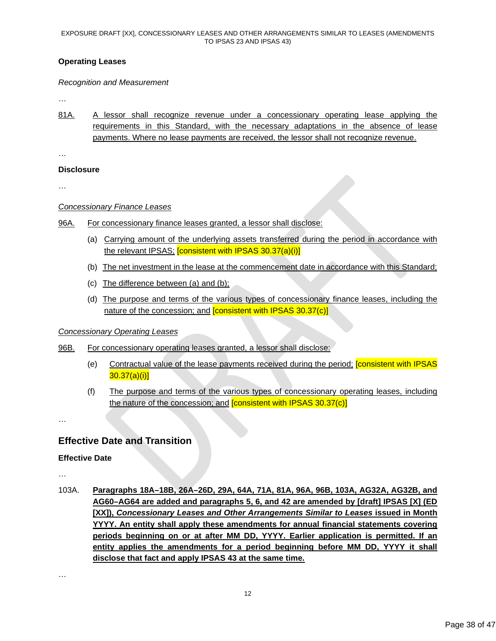### **Operating Leases**

#### *Recognition and Measurement*

…

81A. A lessor shall recognize revenue under a concessionary operating lease applying the requirements in this Standard, with the necessary adaptations in the absence of lease payments. Where no lease payments are received, the lessor shall not recognize revenue.

…

### **Disclosure**

…

### *Concessionary Finance Leases*

- 96A. For concessionary finance leases granted, a lessor shall disclose:
	- (a) Carrying amount of the underlying assets transferred during the period in accordance with the relevant IPSAS; **[consistent with IPSAS 30.37(a)(i)]**
	- (b) The net investment in the lease at the commencement date in accordance with this Standard;
	- (c) The difference between (a) and (b);
	- (d) The purpose and terms of the various types of concessionary finance leases, including the nature of the concession; and **[consistent with IPSAS 30.37(c)]**

### *Concessionary Operating Leases*

### 96B. For concessionary operating leases granted, a lessor shall disclose:

- (e) Contractual value of the lease payments received during the period; [consistent with IPSAS  $30.37(a)(i)$ ]
- (f) The purpose and terms of the various types of concessionary operating leases, including the nature of the concession; and [consistent with IPSAS 30.37(c)]

…

# **Effective Date and Transition**

### **Effective Date**

…

103A. **Paragraphs 18A–18B, 26A–26D, 29A, 64A, 71A, 81A, 96A, 96B, 103A, AG32A, AG32B, and AG60–AG64 are added and paragraphs 5, 6, and 42 are amended by [draft] IPSAS [X] (ED [XX]),** *Concessionary Leases and Other Arrangements Similar to Leases* **issued in Month YYYY. An entity shall apply these amendments for annual financial statements covering periods beginning on or at after MM DD, YYYY. Earlier application is permitted. If an entity applies the amendments for a period beginning before MM DD, YYYY it shall disclose that fact and apply IPSAS 43 at the same time.**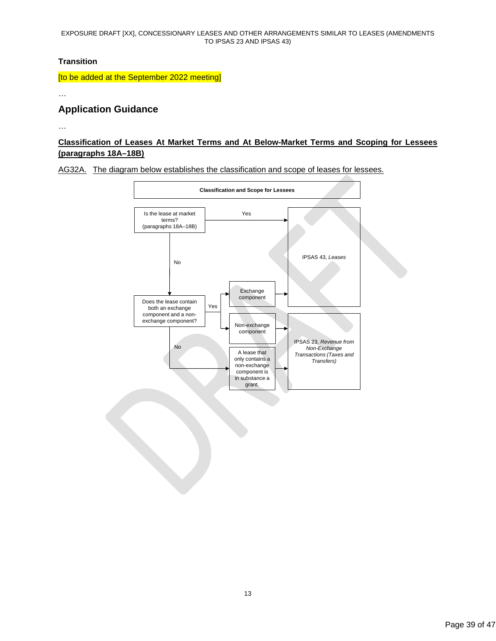#### EXPOSURE DRAFT [XX], CONCESSIONARY LEASES AND OTHER ARRANGEMENTS SIMILAR TO LEASES (AMENDMENTS TO IPSAS 23 AND IPSAS 43)

### **Transition**

[to be added at the September 2022 meeting]

…

# **Application Guidance**

…

# **Classification of Leases At Market Terms and At Below-Market Terms and Scoping for Lessees (paragraphs 18A–18B)**

AG32A. The diagram below establishes the classification and scope of leases for lessees.

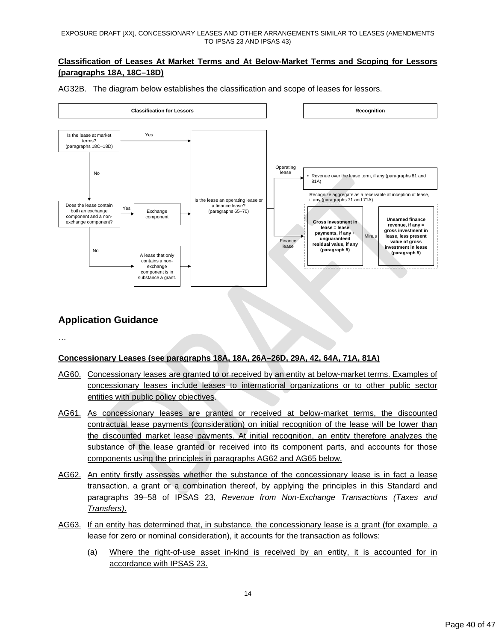# **Classification of Leases At Market Terms and At Below-Market Terms and Scoping for Lessors (paragraphs 18A, 18C–18D)**



AG32B. The diagram below establishes the classification and scope of leases for lessors.

# **Application Guidance**

…

# **Concessionary Leases (see paragraphs 18A, 18A, 26A–26D, 29A, 42, 64A, 71A, 81A)**

- AG60. Concessionary leases are granted to or received by an entity at below-market terms. Examples of concessionary leases include leases to international organizations or to other public sector entities with public policy objectives.
- AG61. As concessionary leases are granted or received at below-market terms, the discounted contractual lease payments (consideration) on initial recognition of the lease will be lower than the discounted market lease payments. At initial recognition, an entity therefore analyzes the substance of the lease granted or received into its component parts, and accounts for those components using the principles in paragraphs AG62 and [AG65](#page-40-0) below.
- AG62. An entity firstly assesses whether the substance of the concessionary lease is in fact a lease transaction, a grant or a combination thereof, by applying the principles in this Standard and paragraphs 39–58 of IPSAS 23, *Revenue from Non-Exchange Transactions (Taxes and Transfers)*.
- AG63. If an entity has determined that, in substance, the concessionary lease is a grant (for example, a lease for zero or nominal consideration), it accounts for the transaction as follows:
	- (a) Where the right-of-use asset in-kind is received by an entity, it is accounted for in accordance with IPSAS 23.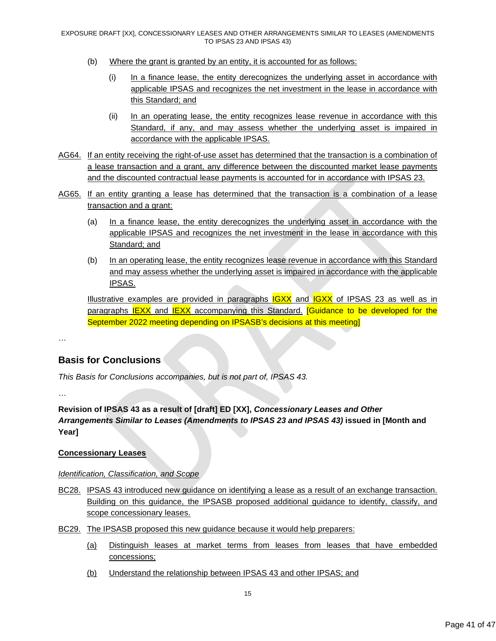- (b) Where the grant is granted by an entity, it is accounted for as follows:
	- (i) In a finance lease, the entity derecognizes the underlying asset in accordance with applicable IPSAS and recognizes the net investment in the lease in accordance with this Standard; and
	- (ii) In an operating lease, the entity recognizes lease revenue in accordance with this Standard, if any, and may assess whether the underlying asset is impaired in accordance with the applicable IPSAS.
- AG64. If an entity receiving the right-of-use asset has determined that the transaction is a combination of a lease transaction and a grant, any difference between the discounted market lease payments and the discounted contractual lease payments is accounted for in accordance with IPSAS 23.
- <span id="page-40-0"></span>AG65. If an entity granting a lease has determined that the transaction is a combination of a lease transaction and a grant:
	- (a) In a finance lease, the entity derecognizes the underlying asset in accordance with the applicable IPSAS and recognizes the net investment in the lease in accordance with this Standard; and
	- (b) In an operating lease, the entity recognizes lease revenue in accordance with this Standard and may assess whether the underlying asset is impaired in accordance with the applicable IPSAS.

Illustrative examples are provided in paragraphs  $IGXX$  and  $IGXX$  of IPSAS 23 as well as in paragraphs IEXX and IEXX accompanying this Standard. **[Guidance to be developed for the** September 2022 meeting depending on IPSASB's decisions at this meeting]

…

# **Basis for Conclusions**

*This Basis for Conclusions accompanies, but is not part of, IPSAS 43.*

…

**Revision of IPSAS 43 as a result of [draft] ED [XX],** *Concessionary Leases and Other Arrangements Similar to Leases (Amendments to IPSAS 23 and IPSAS 43)* **issued in [Month and Year]**

### **Concessionary Leases**

### *Identification, Classification, and Scope*

- BC28. IPSAS 43 introduced new guidance on identifying a lease as a result of an exchange transaction. Building on this guidance, the IPSASB proposed additional guidance to identify, classify, and scope concessionary leases.
- BC29. The IPSASB proposed this new guidance because it would help preparers:
	- (a) Distinguish leases at market terms from leases from leases that have embedded concessions;
	- (b) Understand the relationship between IPSAS 43 and other IPSAS; and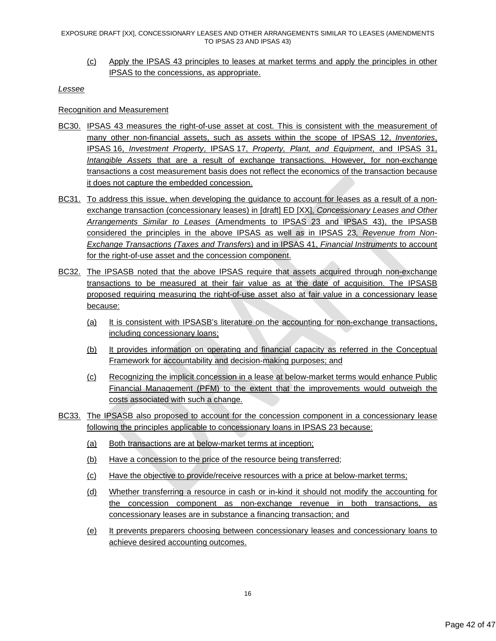(c) Apply the IPSAS 43 principles to leases at market terms and apply the principles in other IPSAS to the concessions, as appropriate.

#### *Lessee*

### Recognition and Measurement

- BC30. IPSAS 43 measures the right-of-use asset at cost. This is consistent with the measurement of many other non-financial assets, such as assets within the scope of IPSAS 12, *Inventories*, IPSAS 16, *Investment Property*, IPSAS 17, *Property, Plant, and Equipment*, and IPSAS 31, *Intangible Assets* that are a result of exchange transactions. However, for non-exchange transactions a cost measurement basis does not reflect the economics of the transaction because it does not capture the embedded concession.
- BC31. To address this issue, when developing the guidance to account for leases as a result of a nonexchange transaction (concessionary leases) in [draft] ED [XX], *Concessionary Leases and Other Arrangements Similar to Leases* (Amendments to IPSAS 23 and IPSAS 43), the IPSASB considered the principles in the above IPSAS as well as in IPSAS 23*, Revenue from Non-Exchange Transactions (Taxes and Transfers*) and in IPSAS 41, *Financial Instruments* to account for the right-of-use asset and the concession component.
- BC32. The IPSASB noted that the above IPSAS require that assets acquired through non-exchange transactions to be measured at their fair value as at the date of acquisition. The IPSASB proposed requiring measuring the right-of-use asset also at fair value in a concessionary lease because:
	- (a) It is consistent with IPSASB's literature on the accounting for non-exchange transactions, including concessionary loans;
	- (b) It provides information on operating and financial capacity as referred in the Conceptual Framework for accountability and decision-making purposes; and
	- (c) Recognizing the implicit concession in a lease at below-market terms would enhance Public Financial Management (PFM) to the extent that the improvements would outweigh the costs associated with such a change.
- BC33. The IPSASB also proposed to account for the concession component in a concessionary lease following the principles applicable to concessionary loans in IPSAS 23 because:
	- (a) Both transactions are at below-market terms at inception;
	- (b) Have a concession to the price of the resource being transferred;
	- (c) Have the objective to provide/receive resources with a price at below-market terms;
	- (d) Whether transferring a resource in cash or in-kind it should not modify the accounting for the concession component as non-exchange revenue in both transactions, as concessionary leases are in substance a financing transaction; and
	- (e) It prevents preparers choosing between concessionary leases and concessionary loans to achieve desired accounting outcomes.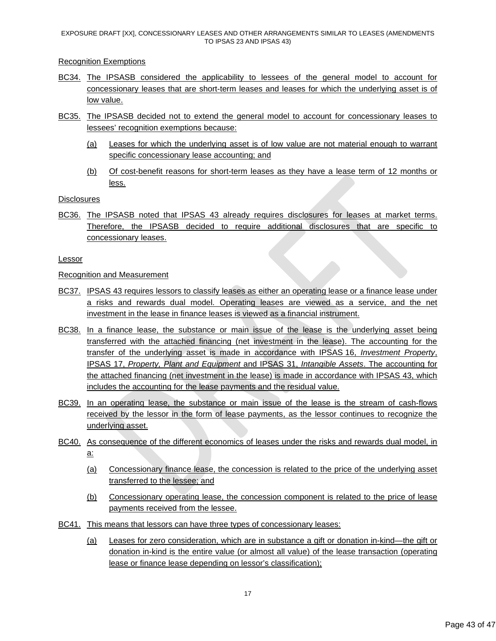Recognition Exemptions

- BC34. The IPSASB considered the applicability to lessees of the general model to account for concessionary leases that are short-term leases and leases for which the underlying asset is of low value.
- BC35. The IPSASB decided not to extend the general model to account for concessionary leases to lessees' recognition exemptions because:
	- (a) Leases for which the underlying asset is of low value are not material enough to warrant specific concessionary lease accounting; and
	- (b) Of cost-benefit reasons for short-term leases as they have a lease term of 12 months or less.

**Disclosures** 

BC36. The IPSASB noted that IPSAS 43 already requires disclosures for leases at market terms. Therefore, the IPSASB decided to require additional disclosures that are specific to concessionary leases.

Lessor

Recognition and Measurement

- BC37. IPSAS 43 requires lessors to classify leases as either an operating lease or a finance lease under a risks and rewards dual model. Operating leases are viewed as a service, and the net investment in the lease in finance leases is viewed as a financial instrument.
- BC38. In a finance lease, the substance or main issue of the lease is the underlying asset being transferred with the attached financing (net investment in the lease). The accounting for the transfer of the underlying asset is made in accordance with IPSAS 16, *Investment Property*, IPSAS 17, *Property, Plant and Equipment* and IPSAS 31, *Intangible Assets*. The accounting for the attached financing (net investment in the lease) is made in accordance with IPSAS 43, which includes the accounting for the lease payments and the residual value.
- BC39. In an operating lease, the substance or main issue of the lease is the stream of cash-flows received by the lessor in the form of lease payments, as the lessor continues to recognize the underlying asset.
- BC40. As consequence of the different economics of leases under the risks and rewards dual model, in a:
	- (a) Concessionary finance lease, the concession is related to the price of the underlying asset transferred to the lessee; and
	- (b) Concessionary operating lease, the concession component is related to the price of lease payments received from the lessee.
- BC41. This means that lessors can have three types of concessionary leases:
	- (a) Leases for zero consideration, which are in substance a gift or donation in-kind—the gift or donation in-kind is the entire value (or almost all value) of the lease transaction (operating lease or finance lease depending on lessor's classification);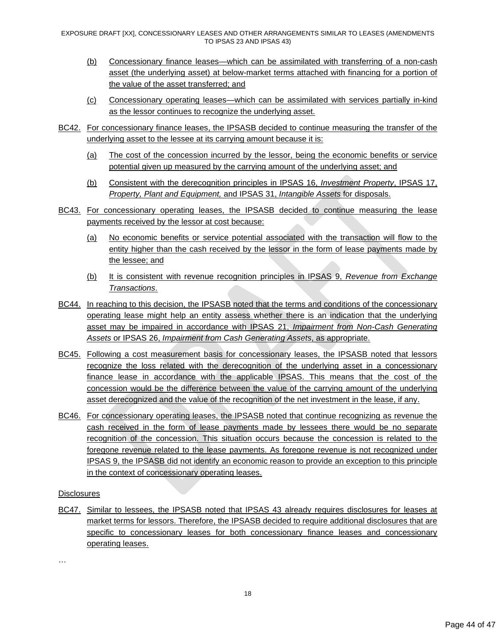- (b) Concessionary finance leases—which can be assimilated with transferring of a non-cash asset (the underlying asset) at below-market terms attached with financing for a portion of the value of the asset transferred; and
- (c) Concessionary operating leases—which can be assimilated with services partially in-kind as the lessor continues to recognize the underlying asset.
- BC42. For concessionary finance leases, the IPSASB decided to continue measuring the transfer of the underlying asset to the lessee at its carrying amount because it is:
	- (a) The cost of the concession incurred by the lessor, being the economic benefits or service potential given up measured by the carrying amount of the underlying asset; and
	- (b) Consistent with the derecognition principles in IPSAS 16, *Investment Property*, IPSAS 17, *Property, Plant and Equipment,* and IPSAS 31, *Intangible Assets* for disposals.
- BC43. For concessionary operating leases, the IPSASB decided to continue measuring the lease payments received by the lessor at cost because:
	- (a) No economic benefits or service potential associated with the transaction will flow to the entity higher than the cash received by the lessor in the form of lease payments made by the lessee; and
	- (b) It is consistent with revenue recognition principles in IPSAS 9, *Revenue from Exchange Transactions*.
- BC44. In reaching to this decision, the IPSASB noted that the terms and conditions of the concessionary operating lease might help an entity assess whether there is an indication that the underlying asset may be impaired in accordance with IPSAS 21, *Impairment from Non-Cash Generating Assets* or IPSAS 26, *Impairment from Cash Generating Assets*, as appropriate.
- BC45. Following a cost measurement basis for concessionary leases, the IPSASB noted that lessors recognize the loss related with the derecognition of the underlying asset in a concessionary finance lease in accordance with the applicable IPSAS. This means that the cost of the concession would be the difference between the value of the carrying amount of the underlying asset derecognized and the value of the recognition of the net investment in the lease, if any.
- BC46. For concessionary operating leases, the IPSASB noted that continue recognizing as revenue the cash received in the form of lease payments made by lessees there would be no separate recognition of the concession. This situation occurs because the concession is related to the foregone revenue related to the lease payments. As foregone revenue is not recognized under IPSAS 9, the IPSASB did not identify an economic reason to provide an exception to this principle in the context of concessionary operating leases.

### **Disclosures**

BC47. Similar to lessees, the IPSASB noted that IPSAS 43 already requires disclosures for leases at market terms for lessors. Therefore, the IPSASB decided to require additional disclosures that are specific to concessionary leases for both concessionary finance leases and concessionary operating leases.

…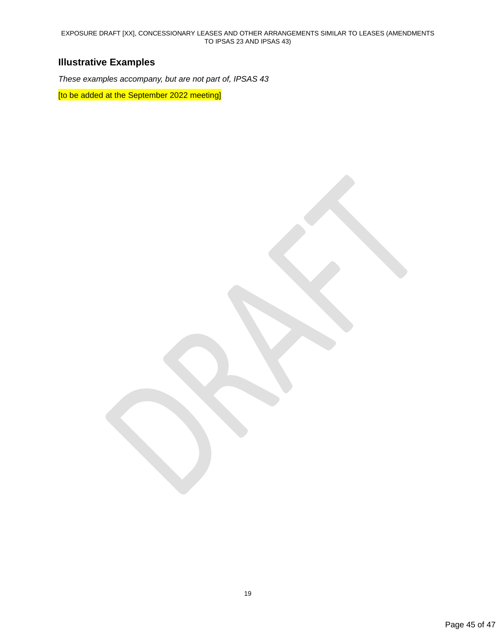# **Illustrative Examples**

*These examples accompany, but are not part of, IPSAS 43*

[to be added at the September 2022 meeting]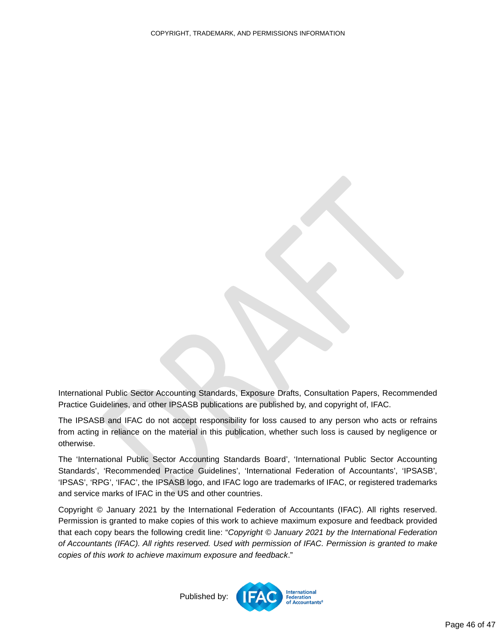<span id="page-45-0"></span>International Public Sector Accounting Standards, Exposure Drafts, Consultation Papers, Recommended Practice Guidelines, and other IPSASB publications are published by, and copyright of, IFAC.

The IPSASB and IFAC do not accept responsibility for loss caused to any person who acts or refrains from acting in reliance on the material in this publication, whether such loss is caused by negligence or otherwise.

The 'International Public Sector Accounting Standards Board', 'International Public Sector Accounting Standards', 'Recommended Practice Guidelines', 'International Federation of Accountants', 'IPSASB', 'IPSAS', 'RPG', 'IFAC', the IPSASB logo, and IFAC logo are trademarks of IFAC, or registered trademarks and service marks of IFAC in the US and other countries.

Copyright © January 2021 by the International Federation of Accountants (IFAC). All rights reserved. Permission is granted to make copies of this work to achieve maximum exposure and feedback provided that each copy bears the following credit line: "*Copyright © January 2021 by the International Federation of Accountants (IFAC). All rights reserved. Used with permission of IFAC. Permission is granted to make copies of this work to achieve maximum exposure and feedback*."